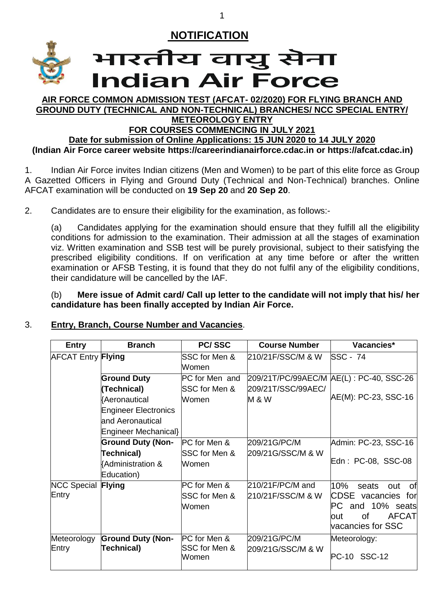

## भारतीय वायु सेना **Indian Air Force**

#### **AIR FORCE COMMON ADMISSION TEST (AFCAT- 02/2020) FOR FLYING BRANCH AND GROUND DUTY (TECHNICAL AND NON-TECHNICAL) BRANCHES/ NCC SPECIAL ENTRY/ METEOROLOGY ENTRY**

## **FOR COURSES COMMENCING IN JULY 2021**

**Date for submission of Online Applications: 15 JUN 2020 to 14 JULY 2020 (Indian Air Force career website [https://careerindianairforce.cdac.in](https://careerindianairforce.cdac.in/) or [https://afcat.cdac.in\)](https://afcat.cdac.in/)**

1. Indian Air Force invites Indian citizens (Men and Women) to be part of this elite force as Group A Gazetted Officers in Flying and Ground Duty (Technical and Non-Technical) branches. Online AFCAT examination will be conducted on **19 Sep 20** and **20 Sep 20**.

2. Candidates are to ensure their eligibility for the examination, as follows:-

(a) Candidates applying for the examination should ensure that they fulfill all the eligibility conditions for admission to the examination. Their admission at all the stages of examination viz. Written examination and SSB test will be purely provisional, subject to their satisfying the prescribed eligibility conditions. If on verification at any time before or after the written examination or AFSB Testing, it is found that they do not fulfil any of the eligibility conditions, their candidature will be cancelled by the IAF.

(b) **Mere issue of Admit card/ Call up letter to the candidate will not imply that his/ her candidature has been finally accepted by Indian Air Force.**

## 3. **Entry, Branch, Course Number and Vacancies**.

| <b>Entry</b>                       | <b>Branch</b>                                                          | <b>PC/SSC</b>                                 | <b>Course Number</b>                     | Vacancies*                                                                                                                 |
|------------------------------------|------------------------------------------------------------------------|-----------------------------------------------|------------------------------------------|----------------------------------------------------------------------------------------------------------------------------|
| <b>AFCAT Entry Flying</b>          |                                                                        | SSC for Men &<br>Women                        | 210/21F/SSC/M & W                        | <b>SSC - 74</b>                                                                                                            |
|                                    | <b>Ground Duty</b><br>(Technical)                                      | PC for Men and<br>SSC for Men &               | 209/21T/SSC/99AEC/                       | 209/21T/PC/99AEC/M AE(L): PC-40, SSC-26                                                                                    |
|                                    | <b>Aeronautical</b><br><b>Engineer Electronics</b><br>and Aeronautical | Women                                         | <b>M &amp; W</b>                         | AE(M): PC-23, SSC-16                                                                                                       |
|                                    | Engineer Mechanical}<br><b>Ground Duty (Non-</b>                       | PC for Men &                                  | 209/21G/PC/M                             | Admin: PC-23, SSC-16                                                                                                       |
|                                    | Technical)<br>{Administration &<br>Education)                          | SSC for Men &<br>Women                        | 209/21G/SSC/M & W                        | Edn: PC-08, SSC-08                                                                                                         |
| <b>NCC Special Flying</b><br>Entry |                                                                        | <b>PC</b> for Men &<br>SSC for Men &<br>Women | $210/21$ F/PC/M and<br>210/21F/SSC/M & W | 10%<br>seats<br>out<br>0t<br>CDSE vacancies for<br>and 10% seats<br>PC.<br><b>AFCAT</b><br>οf<br>lout<br>vacancies for SSC |
| Meteorology<br>Entry               | <b>Ground Duty (Non-</b><br>Technical)                                 | PC for Men &<br>SSC for Men &<br>Women        | 209/21G/PC/M<br>209/21G/SSC/M & W        | Meteorology:<br>PC-10 SSC-12                                                                                               |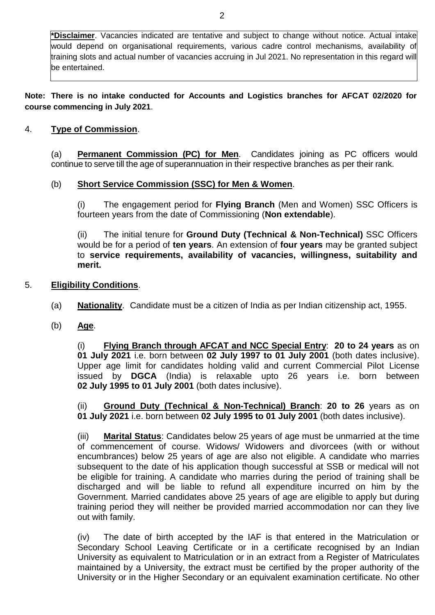**\*Disclaimer**. Vacancies indicated are tentative and subject to change without notice. Actual intake would depend on organisational requirements, various cadre control mechanisms, availability of training slots and actual number of vacancies accruing in Jul 2021. No representation in this regard will be entertained.

**Note: There is no intake conducted for Accounts and Logistics branches for AFCAT 02/2020 for course commencing in July 2021**.

#### 4. **Type of Commission**.

(a) **Permanent Commission (PC) for Men**. Candidates joining as PC officers would continue to serve till the age of superannuation in their respective branches as per their rank.

#### (b) **Short Service Commission (SSC) for Men & Women**.

(i) The engagement period for **Flying Branch** (Men and Women) SSC Officers is fourteen years from the date of Commissioning (**Non extendable**).

(ii) The initial tenure for **Ground Duty (Technical & Non-Technical)** SSC Officers would be for a period of **ten years**. An extension of **four years** may be granted subject to **service requirements, availability of vacancies, willingness, suitability and merit.**

#### 5. **Eligibility Conditions**.

- (a) **Nationality**. Candidate must be a citizen of India as per Indian citizenship act, 1955.
- (b) **Age**.

(i) **Flying Branch through AFCAT and NCC Special Entry**: **20 to 24 years** as on **01 July 2021** i.e. born between **02 July 1997 to 01 July 2001** (both dates inclusive). Upper age limit for candidates holding valid and current Commercial Pilot License issued by **DGCA** (India) is relaxable upto 26 years i.e. born between **02 July 1995 to 01 July 2001** (both dates inclusive).

(ii) **Ground Duty (Technical & Non-Technical) Branch**: **20 to 26** years as on **01 July 2021** i.e. born between **02 July 1995 to 01 July 2001** (both dates inclusive).

(iii) **Marital Status**: Candidates below 25 years of age must be unmarried at the time of commencement of course. Widows/ Widowers and divorcees (with or without encumbrances) below 25 years of age are also not eligible. A candidate who marries subsequent to the date of his application though successful at SSB or medical will not be eligible for training. A candidate who marries during the period of training shall be discharged and will be liable to refund all expenditure incurred on him by the Government. Married candidates above 25 years of age are eligible to apply but during training period they will neither be provided married accommodation nor can they live out with family.

(iv) The date of birth accepted by the IAF is that entered in the Matriculation or Secondary School Leaving Certificate or in a certificate recognised by an Indian University as equivalent to Matriculation or in an extract from a Register of Matriculates maintained by a University, the extract must be certified by the proper authority of the University or in the Higher Secondary or an equivalent examination certificate. No other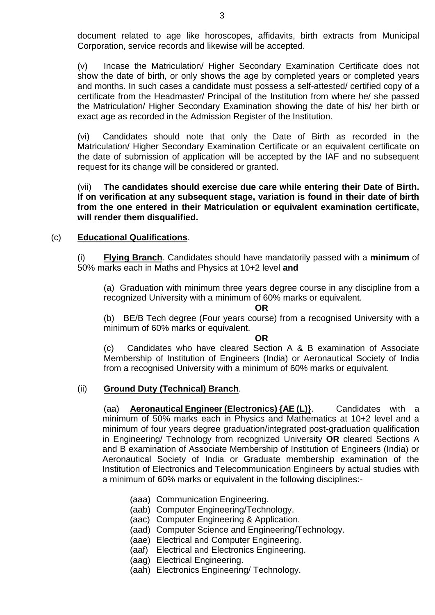document related to age like horoscopes, affidavits, birth extracts from Municipal Corporation, service records and likewise will be accepted.

(v) Incase the Matriculation/ Higher Secondary Examination Certificate does not show the date of birth, or only shows the age by completed years or completed years and months. In such cases a candidate must possess a self-attested/ certified copy of a certificate from the Headmaster/ Principal of the Institution from where he/ she passed the Matriculation/ Higher Secondary Examination showing the date of his/ her birth or exact age as recorded in the Admission Register of the Institution.

(vi) Candidates should note that only the Date of Birth as recorded in the Matriculation/ Higher Secondary Examination Certificate or an equivalent certificate on the date of submission of application will be accepted by the IAF and no subsequent request for its change will be considered or granted.

(vii) **The candidates should exercise due care while entering their Date of Birth. If on verification at any subsequent stage, variation is found in their date of birth from the one entered in their Matriculation or equivalent examination certificate, will render them disqualified.**

#### (c) **Educational Qualifications**.

(i) **Flying Branch**. Candidates should have mandatorily passed with a **minimum** of 50% marks each in Maths and Physics at 10+2 level **and**

(a) Graduation with minimum three years degree course in any discipline from a recognized University with a minimum of 60% marks or equivalent.

**OR**

(b) BE/B Tech degree (Four years course) from a recognised University with a minimum of 60% marks or equivalent.

**OR**

(c) Candidates who have cleared Section A & B examination of Associate Membership of Institution of Engineers (India) or Aeronautical Society of India from a recognised University with a minimum of 60% marks or equivalent.

#### (ii) **Ground Duty (Technical) Branch**.

(aa) **Aeronautical Engineer (Electronics) {AE (L)}**. Candidates with a minimum of 50% marks each in Physics and Mathematics at 10+2 level and a minimum of four years degree graduation/integrated post-graduation qualification in Engineering/ Technology from recognized University **OR** cleared Sections A and B examination of Associate Membership of Institution of Engineers (India) or Aeronautical Society of India or Graduate membership examination of the Institution of Electronics and Telecommunication Engineers by actual studies with a minimum of 60% marks or equivalent in the following disciplines:-

- (aaa) Communication Engineering.
- (aab) Computer Engineering/Technology.
- (aac) Computer Engineering & Application.
- (aad) Computer Science and Engineering/Technology.
- (aae) Electrical and Computer Engineering.
- (aaf) Electrical and Electronics Engineering.
- (aag) Electrical Engineering.
- (aah) Electronics Engineering/ Technology.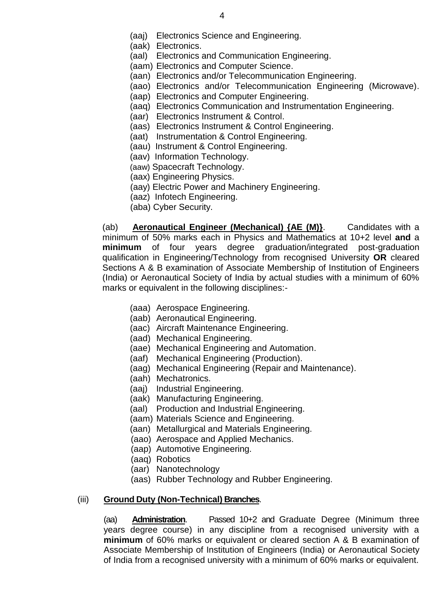(aaj) Electronics Science and Engineering.

(aak) Electronics.

- (aal) Electronics and Communication Engineering.
- (aam) Electronics and Computer Science.
- (aan) Electronics and/or Telecommunication Engineering.
- (aao) Electronics and/or Telecommunication Engineering (Microwave).
- (aap) Electronics and Computer Engineering.
- (aaq) Electronics Communication and Instrumentation Engineering.
- (aar) Electronics Instrument & Control.
- (aas) Electronics Instrument & Control Engineering.
- (aat) Instrumentation & Control Engineering.
- (aau) Instrument & Control Engineering.
- (aav) Information Technology.
- (aaw) Spacecraft Technology.
- (aax) Engineering Physics.
- (aay) Electric Power and Machinery Engineering.
- (aaz) Infotech Engineering.
- (aba) Cyber Security.

(ab) **Aeronautical Engineer (Mechanical) {AE (M)}**. Candidates with a minimum of 50% marks each in Physics and Mathematics at 10+2 level **and** a **minimum** of four years degree graduation/integrated post-graduation qualification in Engineering/Technology from recognised University **OR** cleared Sections A & B examination of Associate Membership of Institution of Engineers (India) or Aeronautical Society of India by actual studies with a minimum of 60% marks or equivalent in the following disciplines:-

- (aaa) Aerospace Engineering.
- (aab) Aeronautical Engineering.
- (aac) Aircraft Maintenance Engineering.
- (aad) Mechanical Engineering.
- (aae) Mechanical Engineering and Automation.
- (aaf) Mechanical Engineering (Production).
- (aag) Mechanical Engineering (Repair and Maintenance).
- (aah) Mechatronics.
- (aaj) Industrial Engineering.
- (aak) Manufacturing Engineering.
- (aal) Production and Industrial Engineering.
- (aam) Materials Science and Engineering.
- (aan) Metallurgical and Materials Engineering.
- (aao) Aerospace and Applied Mechanics.
- (aap) Automotive Engineering.
- (aaq) Robotics
- (aar) Nanotechnology
- (aas) Rubber Technology and Rubber Engineering.

#### (iii) **Ground Duty (Non-Technical) Branches**.

(aa) **Administration**. Passed 10+2 and Graduate Degree (Minimum three years degree course) in any discipline from a recognised university with a **minimum** of 60% marks or equivalent or cleared section A & B examination of Associate Membership of Institution of Engineers (India) or Aeronautical Society of India from a recognised university with a minimum of 60% marks or equivalent.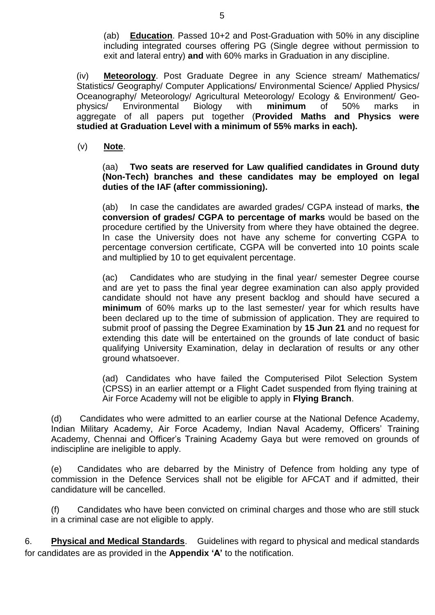(ab) **Education**. Passed 10+2 and Post-Graduation with 50% in any discipline including integrated courses offering PG (Single degree without permission to exit and lateral entry) **and** with 60% marks in Graduation in any discipline.

(iv) **Meteorology**. Post Graduate Degree in any Science stream/ Mathematics/ Statistics/ Geography/ Computer Applications/ Environmental Science/ Applied Physics/ Oceanography/ Meteorology/ Agricultural Meteorology/ Ecology & Environment/ Geophysics/ Environmental Biology with **minimum** of 50% marks in aggregate of all papers put together (**Provided Maths and Physics were studied at Graduation Level with a minimum of 55% marks in each).** 

(v) **Note**.

(aa) **Two seats are reserved for Law qualified candidates in Ground duty (Non-Tech) branches and these candidates may be employed on legal duties of the IAF (after commissioning).**

(ab) In case the candidates are awarded grades/ CGPA instead of marks, **the conversion of grades/ CGPA to percentage of marks** would be based on the procedure certified by the University from where they have obtained the degree. In case the University does not have any scheme for converting CGPA to percentage conversion certificate, CGPA will be converted into 10 points scale and multiplied by 10 to get equivalent percentage.

(ac) Candidates who are studying in the final year/ semester Degree course and are yet to pass the final year degree examination can also apply provided candidate should not have any present backlog and should have secured a **minimum** of 60% marks up to the last semester/ year for which results have been declared up to the time of submission of application. They are required to submit proof of passing the Degree Examination by **15 Jun 21** and no request for extending this date will be entertained on the grounds of late conduct of basic qualifying University Examination, delay in declaration of results or any other ground whatsoever.

(ad) Candidates who have failed the Computerised Pilot Selection System (CPSS) in an earlier attempt or a Flight Cadet suspended from flying training at Air Force Academy will not be eligible to apply in **Flying Branch**.

(d) Candidates who were admitted to an earlier course at the National Defence Academy, Indian Military Academy, Air Force Academy, Indian Naval Academy, Officers' Training Academy, Chennai and Officer's Training Academy Gaya but were removed on grounds of indiscipline are ineligible to apply.

(e) Candidates who are debarred by the Ministry of Defence from holding any type of commission in the Defence Services shall not be eligible for AFCAT and if admitted, their candidature will be cancelled.

(f) Candidates who have been convicted on criminal charges and those who are still stuck in a criminal case are not eligible to apply.

6. **Physical and Medical Standards**. Guidelines with regard to physical and medical standards for candidates are as provided in the **Appendix 'A'** to the notification.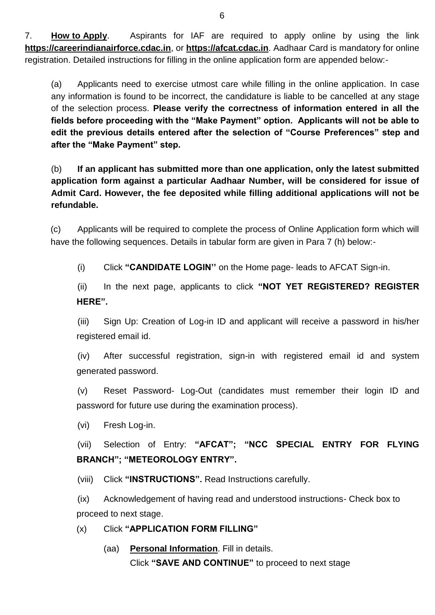7. **How to Apply**. Aspirants for IAF are required to apply online by using the link **[https://careerindianairforce.cdac.in](https://careerindianairforce.cdac.in/)**, or **https://afcat.cdac.in**. Aadhaar Card is mandatory for online registration. Detailed instructions for filling in the online application form are appended below:-

(a) Applicants need to exercise utmost care while filling in the online application. In case any information is found to be incorrect, the candidature is liable to be cancelled at any stage of the selection process. **Please verify the correctness of information entered in all the fields before proceeding with the "Make Payment" option. Applicants will not be able to edit the previous details entered after the selection of "Course Preferences" step and after the "Make Payment" step.**

(b) **If an applicant has submitted more than one application, only the latest submitted application form against a particular Aadhaar Number, will be considered for issue of Admit Card. However, the fee deposited while filling additional applications will not be refundable.**

(c) Applicants will be required to complete the process of Online Application form which will have the following sequences. Details in tabular form are given in Para 7 (h) below:-

(i) Click **"CANDIDATE LOGIN''** on the Home page- leads to AFCAT Sign-in.

(ii) In the next page, applicants to click **"NOT YET REGISTERED? REGISTER HERE".**

(iii) Sign Up: Creation of Log-in ID and applicant will receive a password in his/her registered email id.

(iv) After successful registration, sign-in with registered email id and system generated password.

(v) Reset Password- Log-Out (candidates must remember their login ID and password for future use during the examination process).

(vi) Fresh Log-in.

(vii) Selection of Entry: **"AFCAT"; "NCC SPECIAL ENTRY FOR FLYING BRANCH"; "METEOROLOGY ENTRY".**

(viii) Click **"INSTRUCTIONS".** Read Instructions carefully.

(ix) Acknowledgement of having read and understood instructions- Check box to proceed to next stage.

(x) Click **"APPLICATION FORM FILLING"**

(aa) **Personal Information**. Fill in details. Click **"SAVE AND CONTINUE"** to proceed to next stage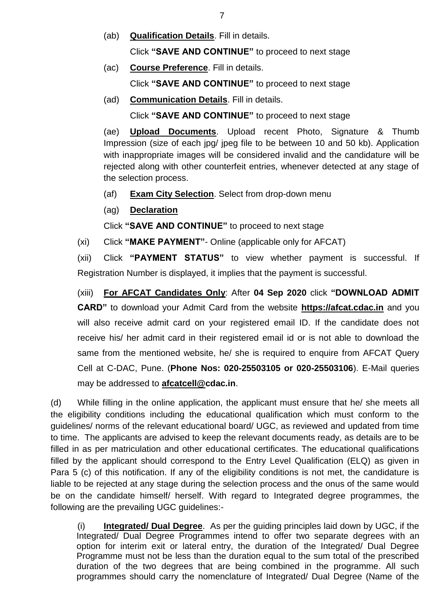(ab) **Qualification Details**. Fill in details.

Click **"SAVE AND CONTINUE"** to proceed to next stage

(ac) **Course Preference**. Fill in details.

Click **"SAVE AND CONTINUE"** to proceed to next stage

(ad) **Communication Details**. Fill in details.

Click **"SAVE AND CONTINUE"** to proceed to next stage

(ae) **Upload Documents**. Upload recent Photo, Signature & Thumb Impression (size of each jpg/ jpeg file to be between 10 and 50 kb). Application with inappropriate images will be considered invalid and the candidature will be rejected along with other counterfeit entries, whenever detected at any stage of the selection process.

- (af) **Exam City Selection**. Select from drop-down menu
- (ag) **Declaration**

Click **"SAVE AND CONTINUE"** to proceed to next stage

(xi) Click **"MAKE PAYMENT"**- Online (applicable only for AFCAT)

(xii) Click **"PAYMENT STATUS"** to view whether payment is successful. If Registration Number is displayed, it implies that the payment is successful.

(xiii) **For AFCAT Candidates Only**: After **04 Sep 2020** click **"DOWNLOAD ADMIT CARD"** to download your Admit Card from the website **[https://afcat.cdac.in](https://afcat.cdac.in/)** and you will also receive admit card on your registered email ID. If the candidate does not receive his/ her admit card in their registered email id or is not able to download the same from the mentioned website, he/ she is required to enquire from AFCAT Query Cell at C-DAC, Pune. (**Phone Nos: 020-25503105 or 020-25503106**). E-Mail queries may be addressed to **[afcatcell@c](mailto:afcatcell@)dac.in**.

(d) While filling in the online application, the applicant must ensure that he/ she meets all the eligibility conditions including the educational qualification which must conform to the guidelines/ norms of the relevant educational board/ UGC, as reviewed and updated from time to time. The applicants are advised to keep the relevant documents ready, as details are to be filled in as per matriculation and other educational certificates. The educational qualifications filled by the applicant should correspond to the Entry Level Qualification (ELQ) as given in Para 5 (c) of this notification. If any of the eligibility conditions is not met, the candidature is liable to be rejected at any stage during the selection process and the onus of the same would be on the candidate himself/ herself. With regard to Integrated degree programmes, the following are the prevailing UGC guidelines:-

(i) **Integrated/ Dual Degree**. As per the guiding principles laid down by UGC, if the Integrated/ Dual Degree Programmes intend to offer two separate degrees with an option for interim exit or lateral entry, the duration of the Integrated/ Dual Degree Programme must not be less than the duration equal to the sum total of the prescribed duration of the two degrees that are being combined in the programme. All such programmes should carry the nomenclature of Integrated/ Dual Degree (Name of the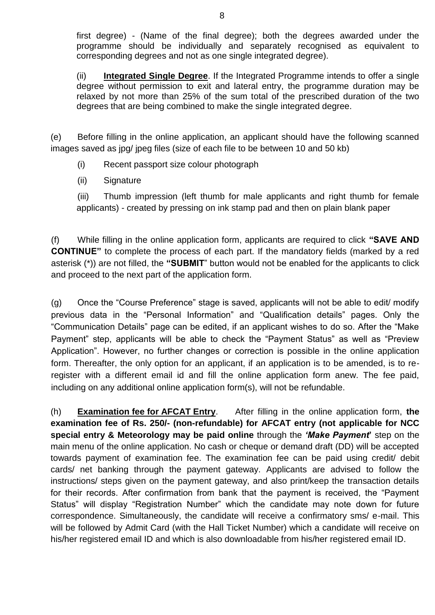first degree) - (Name of the final degree); both the degrees awarded under the programme should be individually and separately recognised as equivalent to corresponding degrees and not as one single integrated degree).

(ii) **Integrated Single Degree**. If the Integrated Programme intends to offer a single degree without permission to exit and lateral entry, the programme duration may be relaxed by not more than 25% of the sum total of the prescribed duration of the two degrees that are being combined to make the single integrated degree.

(e) Before filling in the online application, an applicant should have the following scanned images saved as jpg/ jpeg files (size of each file to be between 10 and 50 kb)

- (i) Recent passport size colour photograph
- (ii) Signature

(iii) Thumb impression (left thumb for male applicants and right thumb for female applicants) - created by pressing on ink stamp pad and then on plain blank paper

(f) While filling in the online application form, applicants are required to click **"SAVE AND CONTINUE"** to complete the process of each part. If the mandatory fields (marked by a red asterisk (\*)) are not filled, the **"SUBMIT**" button would not be enabled for the applicants to click and proceed to the next part of the application form.

(g) Once the "Course Preference" stage is saved, applicants will not be able to edit/ modify previous data in the "Personal Information" and "Qualification details" pages. Only the "Communication Details" page can be edited, if an applicant wishes to do so. After the "Make Payment" step, applicants will be able to check the "Payment Status" as well as "Preview Application". However, no further changes or correction is possible in the online application form. Thereafter, the only option for an applicant, if an application is to be amended, is to reregister with a different email id and fill the online application form anew. The fee paid, including on any additional online application form(s), will not be refundable.

(h) **Examination fee for AFCAT Entry**. After filling in the online application form, **the examination fee of Rs. 250/- (non-refundable) for AFCAT entry (not applicable for NCC special entry & Meteorology may be paid online** through the *'Make Payment***'** step on the main menu of the online application. No cash or cheque or demand draft (DD) will be accepted towards payment of examination fee. The examination fee can be paid using credit/ debit cards/ net banking through the payment gateway. Applicants are advised to follow the instructions/ steps given on the payment gateway, and also print/keep the transaction details for their records. After confirmation from bank that the payment is received, the "Payment Status" will display "Registration Number" which the candidate may note down for future correspondence. Simultaneously, the candidate will receive a confirmatory sms/ e-mail. This will be followed by Admit Card (with the Hall Ticket Number) which a candidate will receive on his/her registered email ID and which is also downloadable from his/her registered email ID.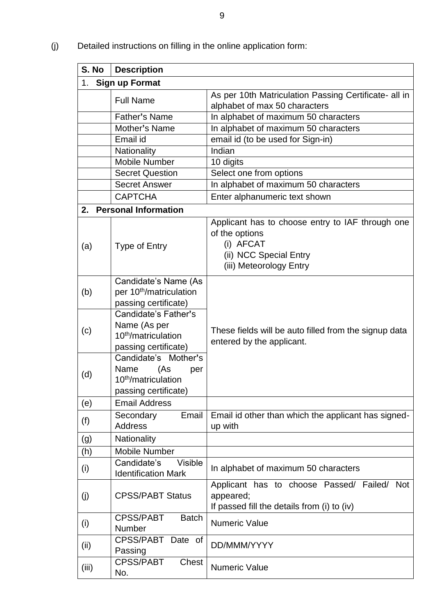(j) Detailed instructions on filling in the online application form:

| S. No | <b>Description</b>                                                                                          |                                                                                                                                      |
|-------|-------------------------------------------------------------------------------------------------------------|--------------------------------------------------------------------------------------------------------------------------------------|
| 1.    | <b>Sign up Format</b>                                                                                       |                                                                                                                                      |
|       | <b>Full Name</b>                                                                                            | As per 10th Matriculation Passing Certificate- all in                                                                                |
|       |                                                                                                             | alphabet of max 50 characters                                                                                                        |
|       | Father's Name                                                                                               | In alphabet of maximum 50 characters                                                                                                 |
|       | Mother's Name                                                                                               | In alphabet of maximum 50 characters                                                                                                 |
|       | Email id                                                                                                    | email id (to be used for Sign-in)                                                                                                    |
|       | Nationality                                                                                                 | Indian                                                                                                                               |
|       | <b>Mobile Number</b>                                                                                        | 10 digits                                                                                                                            |
|       | <b>Secret Question</b>                                                                                      | Select one from options                                                                                                              |
|       | <b>Secret Answer</b>                                                                                        | In alphabet of maximum 50 characters                                                                                                 |
|       | <b>CAPTCHA</b>                                                                                              | Enter alphanumeric text shown                                                                                                        |
|       | 2. Personal Information                                                                                     |                                                                                                                                      |
| (a)   | <b>Type of Entry</b>                                                                                        | Applicant has to choose entry to IAF through one<br>of the options<br>(i) AFCAT<br>(ii) NCC Special Entry<br>(iii) Meteorology Entry |
| (b)   | Candidate's Name (As<br>per 10 <sup>th</sup> /matriculation<br>passing certificate)<br>Candidate's Father's |                                                                                                                                      |
| (c)   | Name (As per<br>10 <sup>th</sup> /matriculation<br>passing certificate)                                     | These fields will be auto filled from the signup data<br>entered by the applicant.                                                   |
| (d)   | Candidate's Mother's<br>(As<br>Name<br>per<br>10 <sup>th</sup> /matriculation<br>passing certificate)       |                                                                                                                                      |
| (e)   | <b>Email Address</b>                                                                                        |                                                                                                                                      |
| (f)   | Email<br>Secondary<br><b>Address</b>                                                                        | Email id other than which the applicant has signed-<br>up with                                                                       |
| (g)   | Nationality                                                                                                 |                                                                                                                                      |
| (h)   | <b>Mobile Number</b>                                                                                        |                                                                                                                                      |
| (i)   | Candidate's<br><b>Visible</b><br><b>Identification Mark</b>                                                 | In alphabet of maximum 50 characters                                                                                                 |
| (j)   | <b>CPSS/PABT Status</b>                                                                                     | Applicant has to choose Passed/ Failed/ Not<br>appeared;<br>If passed fill the details from (i) to (iv)                              |
| (i)   | <b>CPSS/PABT</b><br><b>Batch</b><br>Number                                                                  | <b>Numeric Value</b>                                                                                                                 |
| (ii)  | CPSS/PABT Date of<br>Passing                                                                                | DD/MMM/YYYY                                                                                                                          |
| (iii) | <b>CPSS/PABT</b><br>Chest<br>No.                                                                            | <b>Numeric Value</b>                                                                                                                 |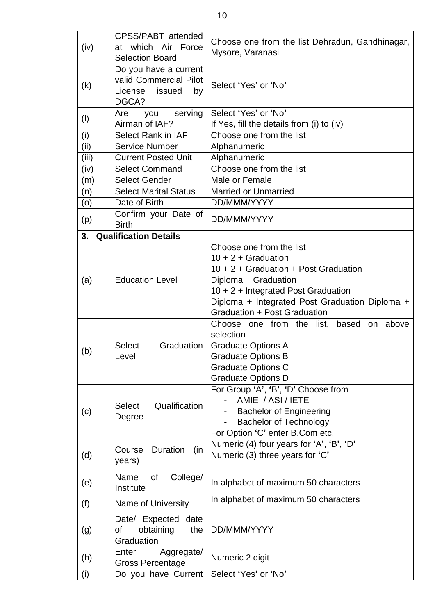| (iv)        | CPSS/PABT attended<br>at which Air Force<br><b>Selection Board</b>                  | Choose one from the list Dehradun, Gandhinagar,<br>Mysore, Varanasi                                                                                                                                                                         |
|-------------|-------------------------------------------------------------------------------------|---------------------------------------------------------------------------------------------------------------------------------------------------------------------------------------------------------------------------------------------|
| (k)         | Do you have a current<br>valid Commercial Pilot<br>issued<br>License<br>by<br>DGCA? | Select 'Yes' or 'No'                                                                                                                                                                                                                        |
| (1)         | serving<br>Are<br>you                                                               | Select 'Yes' or 'No'                                                                                                                                                                                                                        |
|             | Airman of IAF?                                                                      | If Yes, fill the details from (i) to (iv)                                                                                                                                                                                                   |
| (i)<br>(ii) | <b>Select Rank in IAF</b><br><b>Service Number</b>                                  | Choose one from the list<br>Alphanumeric                                                                                                                                                                                                    |
| (iii)       | <b>Current Posted Unit</b>                                                          | Alphanumeric                                                                                                                                                                                                                                |
| (iv)        | <b>Select Command</b>                                                               | Choose one from the list                                                                                                                                                                                                                    |
| (m)         | <b>Select Gender</b>                                                                | Male or Female                                                                                                                                                                                                                              |
| (n)         | <b>Select Marital Status</b>                                                        | <b>Married or Unmarried</b>                                                                                                                                                                                                                 |
| (0)         | Date of Birth                                                                       | DD/MMM/YYYY                                                                                                                                                                                                                                 |
| (p)         | Confirm your Date of<br><b>Birth</b>                                                | DD/MMM/YYYY                                                                                                                                                                                                                                 |
| 3.          | <b>Qualification Details</b>                                                        |                                                                                                                                                                                                                                             |
| (a)         | <b>Education Level</b>                                                              | Choose one from the list<br>$10 + 2 +$ Graduation<br>10 + 2 + Graduation + Post Graduation<br>Diploma + Graduation<br>10 + 2 + Integrated Post Graduation<br>Diploma + Integrated Post Graduation Diploma +<br>Graduation + Post Graduation |
| (b)         | Graduation  <br><b>Select</b><br>Level                                              | Choose one from the list,<br>based<br>on above<br>selection<br><b>Graduate Options A</b><br><b>Graduate Options B</b><br><b>Graduate Options C</b><br><b>Graduate Options D</b>                                                             |
| (c)         | Qualification<br><b>Select</b><br>Degree                                            | For Group 'A', 'B', 'D' Choose from<br>AMIE / ASI / IETE<br><b>Bachelor of Engineering</b><br><b>Bachelor of Technology</b><br>For Option 'C' enter B.Com etc.                                                                              |
| (d)         | Course<br>Duration<br>(in<br>years)                                                 | Numeric (4) four years for 'A', 'B', 'D'<br>Numeric (3) three years for 'C'                                                                                                                                                                 |
| (e)         | of<br>College/<br>Name<br>Institute                                                 | In alphabet of maximum 50 characters                                                                                                                                                                                                        |
| (f)         | Name of University                                                                  | In alphabet of maximum 50 characters                                                                                                                                                                                                        |
| (g)         | Date/ Expected<br>date<br>obtaining<br>the<br>οf<br>Graduation                      | DD/MMM/YYYY                                                                                                                                                                                                                                 |
| (h)         | Enter<br>Aggregate/<br><b>Gross Percentage</b>                                      | Numeric 2 digit                                                                                                                                                                                                                             |
| (i)         | Do you have Current                                                                 | Select 'Yes' or 'No'                                                                                                                                                                                                                        |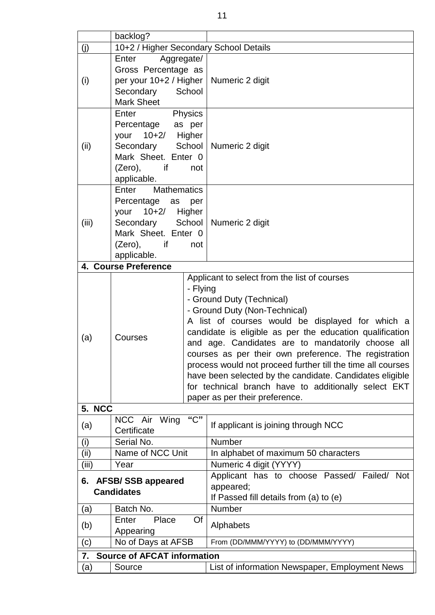|             | backlog?                                                   |                               |                                                                                                               |  |  |
|-------------|------------------------------------------------------------|-------------------------------|---------------------------------------------------------------------------------------------------------------|--|--|
| (j)         | 10+2 / Higher Secondary School Details                     |                               |                                                                                                               |  |  |
|             | Enter<br>Aggregate/                                        |                               |                                                                                                               |  |  |
|             | Gross Percentage as                                        |                               |                                                                                                               |  |  |
| (i)         | per your 10+2 / Higher   Numeric 2 digit                   |                               |                                                                                                               |  |  |
|             | Secondary                                                  | School                        |                                                                                                               |  |  |
|             | <b>Mark Sheet</b>                                          |                               |                                                                                                               |  |  |
|             | Enter                                                      | Physics                       |                                                                                                               |  |  |
|             | Percentage as per<br>your 10+2/ Higher                     |                               |                                                                                                               |  |  |
| (ii)        | Secondary School                                           |                               | Numeric 2 digit                                                                                               |  |  |
|             | Mark Sheet. Enter 0                                        |                               |                                                                                                               |  |  |
|             | (Zero),<br>if                                              | not                           |                                                                                                               |  |  |
|             | applicable.                                                |                               |                                                                                                               |  |  |
|             | <b>Mathematics</b><br>Enter                                |                               |                                                                                                               |  |  |
|             | Percentage as                                              | per                           |                                                                                                               |  |  |
|             | your 10+2/ Higher                                          |                               |                                                                                                               |  |  |
| (iii)       | Secondary School   Numeric 2 digit                         |                               |                                                                                                               |  |  |
|             | Mark Sheet. Enter 0<br>$(Zero)$ , if<br>not<br>applicable. |                               |                                                                                                               |  |  |
|             |                                                            |                               |                                                                                                               |  |  |
|             | 4. Course Preference                                       |                               |                                                                                                               |  |  |
|             |                                                            |                               | Applicant to select from the list of courses                                                                  |  |  |
|             |                                                            | - Flying                      |                                                                                                               |  |  |
|             |                                                            |                               | - Ground Duty (Technical)                                                                                     |  |  |
|             |                                                            | - Ground Duty (Non-Technical) |                                                                                                               |  |  |
|             |                                                            |                               | A list of courses would be displayed for which a                                                              |  |  |
| (a)         | Courses                                                    |                               | candidate is eligible as per the education qualification<br>and age. Candidates are to mandatorily choose all |  |  |
|             |                                                            |                               | courses as per their own preference. The registration                                                         |  |  |
|             |                                                            |                               | process would not proceed further till the time all courses                                                   |  |  |
|             |                                                            |                               | have been selected by the candidate. Candidates eligible                                                      |  |  |
|             |                                                            |                               | for technical branch have to additionally select EKT                                                          |  |  |
|             |                                                            |                               | paper as per their preference.                                                                                |  |  |
| 5. NCC      |                                                            |                               |                                                                                                               |  |  |
| (a)         | NCC Air<br>Wing                                            | "C"                           | If applicant is joining through NCC                                                                           |  |  |
|             | Certificate<br>Serial No.                                  |                               | Number                                                                                                        |  |  |
| (i)<br>(ii) | Name of NCC Unit                                           |                               | In alphabet of maximum 50 characters                                                                          |  |  |
| (iii)       | Year                                                       |                               | Numeric 4 digit (YYYY)                                                                                        |  |  |
|             |                                                            |                               | Applicant has to choose Passed/ Failed/<br><b>Not</b>                                                         |  |  |
| 6.          | <b>AFSB/SSB appeared</b><br><b>Candidates</b>              |                               | appeared;                                                                                                     |  |  |
|             |                                                            |                               | If Passed fill details from (a) to (e)                                                                        |  |  |
| (a)         | Batch No.                                                  |                               | Number                                                                                                        |  |  |
| (b)         | Enter<br>Place                                             | Of                            | Alphabets                                                                                                     |  |  |
|             | Appearing                                                  |                               | From (DD/MMM/YYYY) to (DD/MMM/YYYY)                                                                           |  |  |
| (c)         | No of Days at AFSB                                         |                               |                                                                                                               |  |  |
| 7.          | <b>Source of AFCAT information</b>                         |                               |                                                                                                               |  |  |
| (a)         | Source                                                     |                               | List of information Newspaper, Employment News                                                                |  |  |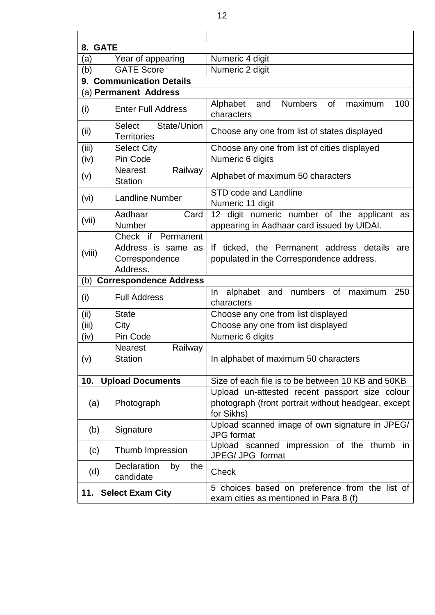| <b>GATE</b><br>8. |                                                                        |                                                                                                                     |
|-------------------|------------------------------------------------------------------------|---------------------------------------------------------------------------------------------------------------------|
| (a)               | Year of appearing                                                      | Numeric 4 digit                                                                                                     |
| (b)               | <b>GATE Score</b>                                                      | Numeric 2 digit                                                                                                     |
|                   | 9. Communication Details                                               |                                                                                                                     |
|                   | (a) Permanent Address                                                  |                                                                                                                     |
| (i)               | <b>Enter Full Address</b>                                              | <b>Numbers</b><br>100<br>Alphabet<br>0f<br>maximum<br>and<br>characters                                             |
| (ii)              | State/Union<br><b>Select</b><br><b>Territories</b>                     | Choose any one from list of states displayed                                                                        |
| (iii)             | <b>Select City</b>                                                     | Choose any one from list of cities displayed                                                                        |
| (iv)              | Pin Code                                                               | Numeric 6 digits                                                                                                    |
| (v)               | <b>Nearest</b><br>Railway<br><b>Station</b>                            | Alphabet of maximum 50 characters                                                                                   |
| (vi)              | <b>Landline Number</b>                                                 | <b>STD code and Landline</b><br>Numeric 11 digit                                                                    |
| (vii)             | Aadhaar<br>Card<br>Number                                              | digit numeric number of the applicant as<br>12 <sup>1</sup><br>appearing in Aadhaar card issued by UIDAI.           |
| (viii)            | Check if Permanent<br>Address is same as<br>Correspondence<br>Address. | If ticked, the Permanent address details<br>are<br>populated in the Correspondence address.                         |
| (b)               | <b>Correspondence Address</b>                                          |                                                                                                                     |
| (i)               | <b>Full Address</b>                                                    | alphabet and<br>numbers of<br>maximum<br>250<br>In<br>characters                                                    |
| (ii)              | <b>State</b>                                                           | Choose any one from list displayed                                                                                  |
| (iii)             | City                                                                   | Choose any one from list displayed                                                                                  |
| (iv)              | Pin Code                                                               | Numeric 6 digits                                                                                                    |
| (v)               | Railway<br><b>Nearest</b><br><b>Station</b>                            | In alphabet of maximum 50 characters                                                                                |
| 10.               | <b>Upload Documents</b>                                                | Size of each file is to be between 10 KB and 50KB                                                                   |
| (a)               | Photograph                                                             | Upload un-attested recent passport size colour<br>photograph (front portrait without headgear, except<br>for Sikhs) |
| (b)               | Signature                                                              | Upload scanned image of own signature in JPEG/<br><b>JPG</b> format                                                 |
| (c)               | Thumb Impression                                                       | Upload scanned impression of the thumb in<br>JPEG/ JPG format                                                       |
| (d)               | Declaration<br>by<br>the<br>candidate                                  | <b>Check</b>                                                                                                        |
| 11.               | <b>Select Exam City</b>                                                | 5 choices based on preference from the list of<br>exam cities as mentioned in Para 8 (f)                            |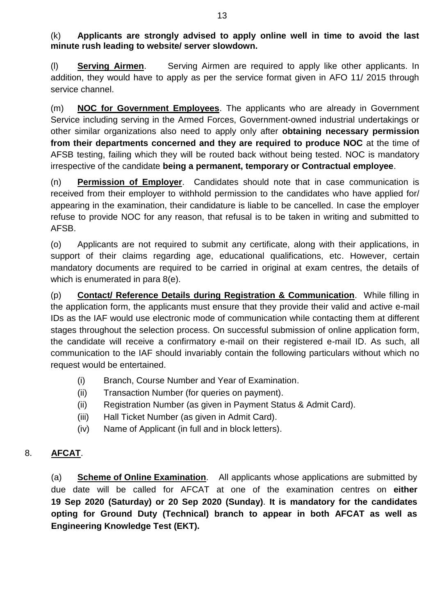(k) **Applicants are strongly advised to apply online well in time to avoid the last minute rush leading to website/ server slowdown.**

(l) **Serving Airmen**. Serving Airmen are required to apply like other applicants. In addition, they would have to apply as per the service format given in AFO 11/ 2015 through service channel.

(m) **NOC for Government Employees**. The applicants who are already in Government Service including serving in the Armed Forces, Government-owned industrial undertakings or other similar organizations also need to apply only after **obtaining necessary permission from their departments concerned and they are required to produce NOC** at the time of AFSB testing, failing which they will be routed back without being tested. NOC is mandatory irrespective of the candidate **being a permanent, temporary or Contractual employee**.

(n) **Permission of Employer**. Candidates should note that in case communication is received from their employer to withhold permission to the candidates who have applied for/ appearing in the examination, their candidature is liable to be cancelled. In case the employer refuse to provide NOC for any reason, that refusal is to be taken in writing and submitted to AFSB.

(o) Applicants are not required to submit any certificate, along with their applications, in support of their claims regarding age, educational qualifications, etc. However, certain mandatory documents are required to be carried in original at exam centres, the details of which is enumerated in para 8(e).

(p) **Contact/ Reference Details during Registration & Communication**. While filling in the application form, the applicants must ensure that they provide their valid and active e-mail IDs as the IAF would use electronic mode of communication while contacting them at different stages throughout the selection process. On successful submission of online application form, the candidate will receive a confirmatory e-mail on their registered e-mail ID. As such, all communication to the IAF should invariably contain the following particulars without which no request would be entertained.

- (i) Branch, Course Number and Year of Examination.
- (ii) Transaction Number (for queries on payment).
- (ii) Registration Number (as given in Payment Status & Admit Card).
- (iii) Hall Ticket Number (as given in Admit Card).
- (iv) Name of Applicant (in full and in block letters).

## 8. **AFCAT**.

(a) **Scheme of Online Examination**. All applicants whose applications are submitted by due date will be called for AFCAT at one of the examination centres on **either 19 Sep 2020 (Saturday) or 20 Sep 2020 (Sunday)**. **It is mandatory for the candidates opting for Ground Duty (Technical) branch to appear in both AFCAT as well as Engineering Knowledge Test (EKT).**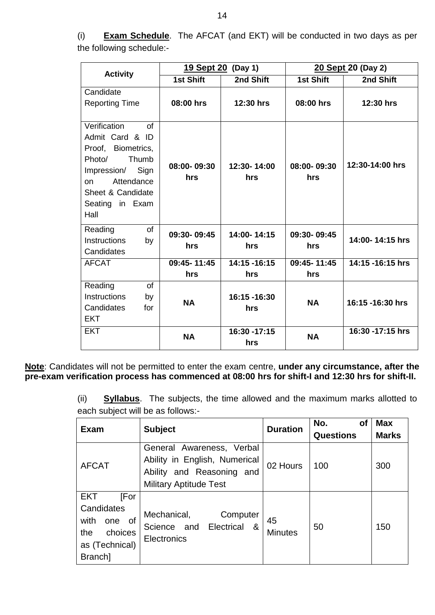(i) **Exam Schedule**. The AFCAT (and EKT) will be conducted in two days as per the following schedule:-

|                                                                                                                                                                                 | <u>19 Sept 20</u>  | (Day 1)              | 20 Sept 20 (Day 2) |                   |  |
|---------------------------------------------------------------------------------------------------------------------------------------------------------------------------------|--------------------|----------------------|--------------------|-------------------|--|
| <b>Activity</b>                                                                                                                                                                 | <b>1st Shift</b>   | 2nd Shift            | <b>1st Shift</b>   | 2nd Shift         |  |
| Candidate<br><b>Reporting Time</b>                                                                                                                                              | 08:00 hrs          | 12:30 hrs            | 08:00 hrs          | 12:30 hrs         |  |
| Verification<br>$\Omega$<br>Admit Card & ID<br>Proof, Biometrics,<br>Thumb<br>Photo/<br>Sign<br>Impression/<br>Attendance<br>on<br>Sheet & Candidate<br>Seating in Exam<br>Hall | 08:00-09:30<br>hrs | 12:30-14:00<br>hrs   | 08:00-09:30<br>hrs | 12:30-14:00 hrs   |  |
| Reading<br><b>of</b><br>Instructions<br>by<br>Candidates                                                                                                                        | 09:30-09:45<br>hrs | 14:00-14:15<br>hrs   | 09:30-09:45<br>hrs | 14:00-14:15 hrs   |  |
| <b>AFCAT</b>                                                                                                                                                                    | 09:45-11:45        | 14:15 -16:15         | 09:45-11:45        | 14:15 -16:15 hrs  |  |
|                                                                                                                                                                                 | hrs                | hrs                  | hrs                |                   |  |
| Reading<br><b>of</b><br>Instructions<br>by<br>Candidates<br>for<br><b>EKT</b>                                                                                                   | <b>NA</b>          | 16:15 -16:30<br>hrs  | <b>NA</b>          | 16:15 -16:30 hrs  |  |
| <b>EKT</b>                                                                                                                                                                      | <b>NA</b>          | 16:30 - 17:15<br>hrs | <b>NA</b>          | 16:30 - 17:15 hrs |  |

**Note**: Candidates will not be permitted to enter the exam centre, **under any circumstance, after the pre-exam verification process has commenced at 08:00 hrs for shift-I and 12:30 hrs for shift-II.**

> (ii) **Syllabus**. The subjects, the time allowed and the maximum marks allotted to each subject will be as follows:-

| <b>Exam</b>                                                                                    | <b>Subject</b>                                                                                                           | <b>Duration</b>      | No.<br>оf<br><b>Questions</b> | <b>Max</b><br><b>Marks</b> |
|------------------------------------------------------------------------------------------------|--------------------------------------------------------------------------------------------------------------------------|----------------------|-------------------------------|----------------------------|
| <b>AFCAT</b>                                                                                   | General Awareness, Verbal<br>Ability in English, Numerical<br>Ability and Reasoning and<br><b>Military Aptitude Test</b> | 02 Hours             | 100                           | 300                        |
| EKT<br>[For<br>Candidates<br>with<br>_of<br>one<br>choices<br>the<br>as (Technical)<br>Branch] | Mechanical,<br>Computer<br>Science and Electrical<br>_&<br>Electronics                                                   | 45<br><b>Minutes</b> | 50                            | 150                        |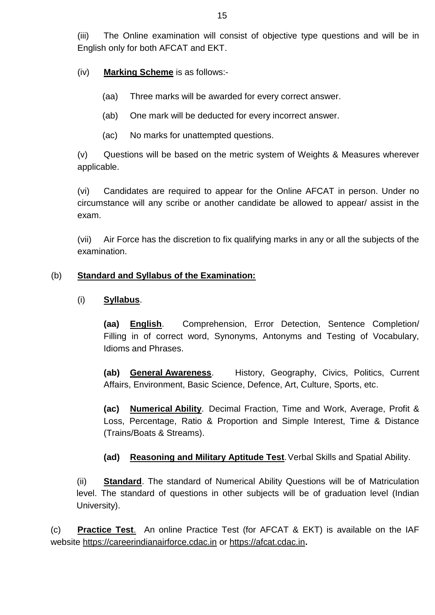(iii) The Online examination will consist of objective type questions and will be in English only for both AFCAT and EKT.

(iv) **Marking Scheme** is as follows:-

- (aa) Three marks will be awarded for every correct answer.
- (ab) One mark will be deducted for every incorrect answer.
- (ac) No marks for unattempted questions.

(v) Questions will be based on the metric system of Weights & Measures wherever applicable.

(vi) Candidates are required to appear for the Online AFCAT in person. Under no circumstance will any scribe or another candidate be allowed to appear/ assist in the exam.

(vii) Air Force has the discretion to fix qualifying marks in any or all the subjects of the examination.

## (b) **Standard and Syllabus of the Examination:**

## (i) **Syllabus**.

**(aa) English**. Comprehension, Error Detection, Sentence Completion/ Filling in of correct word, Synonyms, Antonyms and Testing of Vocabulary, Idioms and Phrases.

**(ab) General Awareness**. History, Geography, Civics, Politics, Current Affairs, Environment, Basic Science, Defence, Art, Culture, Sports, etc.

**(ac) Numerical Ability**. Decimal Fraction, Time and Work, Average, Profit & Loss, Percentage, Ratio & Proportion and Simple Interest, Time & Distance (Trains/Boats & Streams).

**(ad) Reasoning and Military Aptitude Test**.Verbal Skills and Spatial Ability.

(ii) **Standard**. The standard of Numerical Ability Questions will be of Matriculation level. The standard of questions in other subjects will be of graduation level (Indian University).

(c) **Practice Test**. An online Practice Test (for AFCAT & EKT) is available on the IAF website [https://careerindianairforce.cdac.in](https://careerindianairforce.cdac.in/) or [https://afcat.cdac.in](https://afcat.cdac.in/)**.**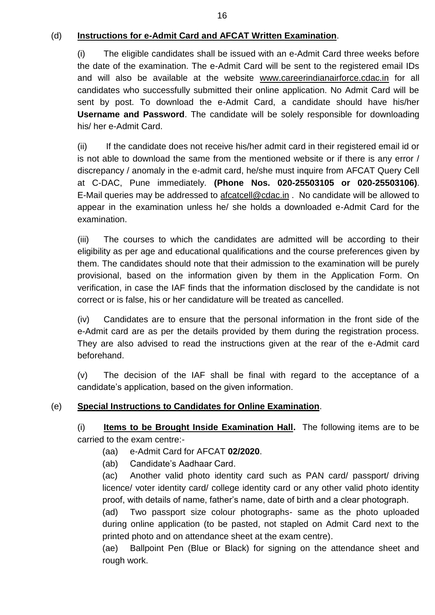## (d) **Instructions for e-Admit Card and AFCAT Written Examination**.

(i) The eligible candidates shall be issued with an e-Admit Card three weeks before the date of the examination. The e-Admit Card will be sent to the registered email IDs and will also be available at the website [www.careerindianairforce.cdac.in](http://www.careerindianairforce.cdac.in/) for all candidates who successfully submitted their online application. No Admit Card will be sent by post. To download the e-Admit Card, a candidate should have his/her **Username and Password**. The candidate will be solely responsible for downloading his/ her e-Admit Card.

(ii) If the candidate does not receive his/her admit card in their registered email id or is not able to download the same from the mentioned website or if there is any error / discrepancy / anomaly in the e-admit card, he/she must inquire from AFCAT Query Cell at C-DAC, Pune immediately. **(Phone Nos. 020-25503105 or 020-25503106)**. E-Mail queries may be addressed to **afcatcell@cdac.in** . No candidate will be allowed to appear in the examination unless he/ she holds a downloaded e-Admit Card for the examination.

(iii) The courses to which the candidates are admitted will be according to their eligibility as per age and educational qualifications and the course preferences given by them. The candidates should note that their admission to the examination will be purely provisional, based on the information given by them in the Application Form. On verification, in case the IAF finds that the information disclosed by the candidate is not correct or is false, his or her candidature will be treated as cancelled.

(iv) Candidates are to ensure that the personal information in the front side of the e-Admit card are as per the details provided by them during the registration process. They are also advised to read the instructions given at the rear of the e-Admit card beforehand.

(v) The decision of the IAF shall be final with regard to the acceptance of a candidate's application, based on the given information.

## (e) **Special Instructions to Candidates for Online Examination**.

(i) **Items to be Brought Inside Examination Hall.** The following items are to be carried to the exam centre:-

- (aa) e-Admit Card for AFCAT **02/2020**.
- (ab) Candidate's Aadhaar Card.

(ac) Another valid photo identity card such as PAN card/ passport/ driving licence/ voter identity card/ college identity card or any other valid photo identity proof, with details of name, father's name, date of birth and a clear photograph.

(ad) Two passport size colour photographs- same as the photo uploaded during online application (to be pasted, not stapled on Admit Card next to the printed photo and on attendance sheet at the exam centre).

(ae) Ballpoint Pen (Blue or Black) for signing on the attendance sheet and rough work.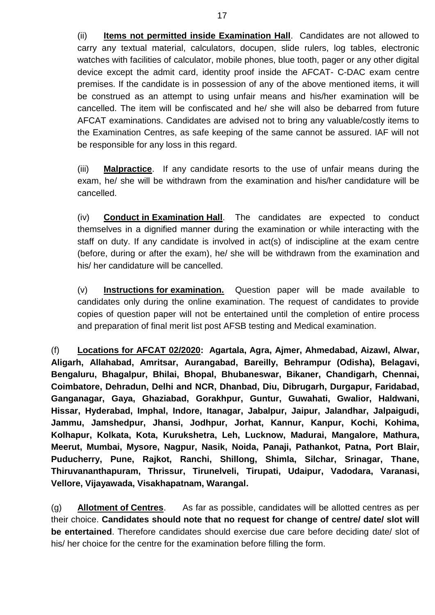(ii) **Items not permitted inside Examination Hall**. Candidates are not allowed to carry any textual material, calculators, docupen, slide rulers, log tables, electronic watches with facilities of calculator, mobile phones, blue tooth, pager or any other digital device except the admit card, identity proof inside the AFCAT- C-DAC exam centre premises. If the candidate is in possession of any of the above mentioned items, it will be construed as an attempt to using unfair means and his/her examination will be cancelled. The item will be confiscated and he/ she will also be debarred from future AFCAT examinations. Candidates are advised not to bring any valuable/costly items to the Examination Centres, as safe keeping of the same cannot be assured. IAF will not be responsible for any loss in this regard.

(iii) **Malpractice**. If any candidate resorts to the use of unfair means during the exam, he/ she will be withdrawn from the examination and his/her candidature will be cancelled.

(iv) **Conduct in Examination Hall**. The candidates are expected to conduct themselves in a dignified manner during the examination or while interacting with the staff on duty. If any candidate is involved in act(s) of indiscipline at the exam centre (before, during or after the exam), he/ she will be withdrawn from the examination and his/ her candidature will be cancelled.

(v) **Instructions for examination.** Question paper will be made available to candidates only during the online examination. The request of candidates to provide copies of question paper will not be entertained until the completion of entire process and preparation of final merit list post AFSB testing and Medical examination.

(f) **Locations for AFCAT 02/2020: Agartala, Agra, Ajmer, Ahmedabad, Aizawl, Alwar, Aligarh, Allahabad, Amritsar, Aurangabad, Bareilly, Behrampur (Odisha), Belagavi, Bengaluru, Bhagalpur, Bhilai, Bhopal, Bhubaneswar, Bikaner, Chandigarh, Chennai, Coimbatore, Dehradun, Delhi and NCR, Dhanbad, Diu, Dibrugarh, Durgapur, Faridabad, Ganganagar, Gaya, Ghaziabad, Gorakhpur, Guntur, Guwahati, Gwalior, Haldwani, Hissar, Hyderabad, Imphal, Indore, Itanagar, Jabalpur, Jaipur, Jalandhar, Jalpaigudi, Jammu, Jamshedpur, Jhansi, Jodhpur, Jorhat, Kannur, Kanpur, Kochi, Kohima, Kolhapur, Kolkata, Kota, Kurukshetra, Leh, Lucknow, Madurai, Mangalore, Mathura, Meerut, Mumbai, Mysore, Nagpur, Nasik, Noida, Panaji, Pathankot, Patna, Port Blair, Puducherry, Pune, Rajkot, Ranchi, Shillong, Shimla, Silchar, Srinagar, Thane, Thiruvananthapuram, Thrissur, Tirunelveli, Tirupati, Udaipur, Vadodara, Varanasi, Vellore, Vijayawada, Visakhapatnam, Warangal.**

(g) **Allotment of Centres**. As far as possible, candidates will be allotted centres as per their choice. **Candidates should note that no request for change of centre/ date/ slot will be entertained**. Therefore candidates should exercise due care before deciding date/ slot of his/ her choice for the centre for the examination before filling the form.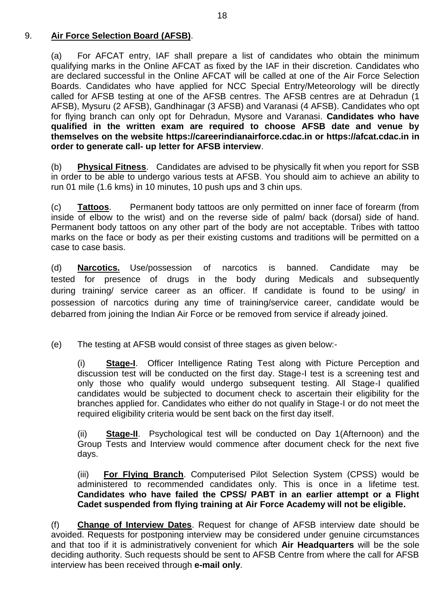## 9. **Air Force Selection Board (AFSB)**.

(a) For AFCAT entry, IAF shall prepare a list of candidates who obtain the minimum qualifying marks in the Online AFCAT as fixed by the IAF in their discretion. Candidates who are declared successful in the Online AFCAT will be called at one of the Air Force Selection Boards. Candidates who have applied for NCC Special Entry/Meteorology will be directly called for AFSB testing at one of the AFSB centres. The AFSB centres are at Dehradun (1 AFSB), Mysuru (2 AFSB), Gandhinagar (3 AFSB) and Varanasi (4 AFSB). Candidates who opt for flying branch can only opt for Dehradun, Mysore and Varanasi. **Candidates who have qualified in the written exam are required to choose AFSB date and venue by themselves on the website [https://careerindianairforce.cdac.in](https://careerindianairforce.cdac.in/) or https://afcat.cdac.in in order to generate call- up letter for AFSB interview**.

(b) **Physical Fitness**. Candidates are advised to be physically fit when you report for SSB in order to be able to undergo various tests at AFSB. You should aim to achieve an ability to run 01 mile (1.6 kms) in 10 minutes, 10 push ups and 3 chin ups.

(c) **Tattoos**. Permanent body tattoos are only permitted on inner face of forearm (from inside of elbow to the wrist) and on the reverse side of palm/ back (dorsal) side of hand. Permanent body tattoos on any other part of the body are not acceptable. Tribes with tattoo marks on the face or body as per their existing customs and traditions will be permitted on a case to case basis.

(d) **Narcotics.** Use/possession of narcotics is banned. Candidate may be tested for presence of drugs in the body during Medicals and subsequently during training/ service career as an officer. If candidate is found to be using/ in possession of narcotics during any time of training/service career, candidate would be debarred from joining the Indian Air Force or be removed from service if already joined.

(e) The testing at AFSB would consist of three stages as given below:-

(i) **Stage-I**. Officer Intelligence Rating Test along with Picture Perception and discussion test will be conducted on the first day. Stage-I test is a screening test and only those who qualify would undergo subsequent testing. All Stage-I qualified candidates would be subjected to document check to ascertain their eligibility for the branches applied for. Candidates who either do not qualify in Stage-I or do not meet the required eligibility criteria would be sent back on the first day itself.

(ii) **Stage-II**. Psychological test will be conducted on Day 1(Afternoon) and the Group Tests and Interview would commence after document check for the next five days.

(iii) **For Flying Branch**. Computerised Pilot Selection System (CPSS) would be administered to recommended candidates only. This is once in a lifetime test. **Candidates who have failed the CPSS/ PABT in an earlier attempt or a Flight Cadet suspended from flying training at Air Force Academy will not be eligible.**

(f) **Change of Interview Dates**. Request for change of AFSB interview date should be avoided. Requests for postponing interview may be considered under genuine circumstances and that too if it is administratively convenient for which **Air Headquarters** will be the sole deciding authority. Such requests should be sent to AFSB Centre from where the call for AFSB interview has been received through **e-mail only**.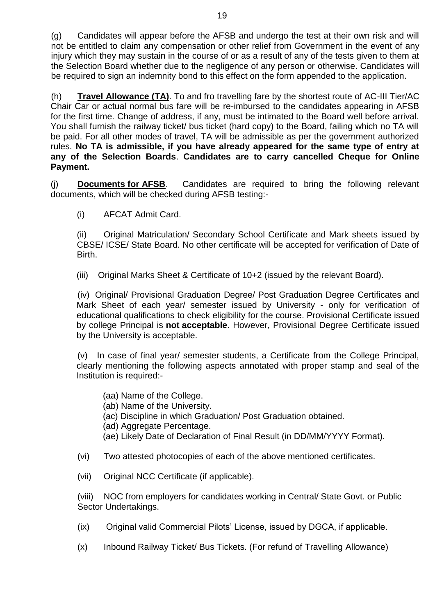(g) Candidates will appear before the AFSB and undergo the test at their own risk and will not be entitled to claim any compensation or other relief from Government in the event of any injury which they may sustain in the course of or as a result of any of the tests given to them at the Selection Board whether due to the negligence of any person or otherwise. Candidates will be required to sign an indemnity bond to this effect on the form appended to the application.

(h) **Travel Allowance (TA)**. To and fro travelling fare by the shortest route of AC-III Tier/AC Chair Car or actual normal bus fare will be re-imbursed to the candidates appearing in AFSB for the first time. Change of address, if any, must be intimated to the Board well before arrival. You shall furnish the railway ticket/ bus ticket (hard copy) to the Board, failing which no TA will be paid. For all other modes of travel, TA will be admissible as per the government authorized rules. **No TA is admissible, if you have already appeared for the same type of entry at any of the Selection Boards**. **Candidates are to carry cancelled Cheque for Online Payment.**

(j) **Documents for AFSB**. Candidates are required to bring the following relevant documents, which will be checked during AFSB testing:-

(i) AFCAT Admit Card.

(ii) Original Matriculation/ Secondary School Certificate and Mark sheets issued by CBSE/ ICSE/ State Board. No other certificate will be accepted for verification of Date of Birth.

(iii) Original Marks Sheet & Certificate of 10+2 (issued by the relevant Board).

(iv) Original/ Provisional Graduation Degree/ Post Graduation Degree Certificates and Mark Sheet of each year/ semester issued by University - only for verification of educational qualifications to check eligibility for the course. Provisional Certificate issued by college Principal is **not acceptable**. However, Provisional Degree Certificate issued by the University is acceptable.

(v) In case of final year/ semester students, a Certificate from the College Principal, clearly mentioning the following aspects annotated with proper stamp and seal of the Institution is required:-

- (aa) Name of the College.
- (ab) Name of the University.
- (ac) Discipline in which Graduation/ Post Graduation obtained.
- (ad) Aggregate Percentage.
- (ae) Likely Date of Declaration of Final Result (in DD/MM/YYYY Format).
- (vi) Two attested photocopies of each of the above mentioned certificates.
- (vii) Original NCC Certificate (if applicable).

(viii) NOC from employers for candidates working in Central/ State Govt. or Public Sector Undertakings.

- (ix) Original valid Commercial Pilots' License, issued by DGCA, if applicable.
- (x) Inbound Railway Ticket/ Bus Tickets. (For refund of Travelling Allowance)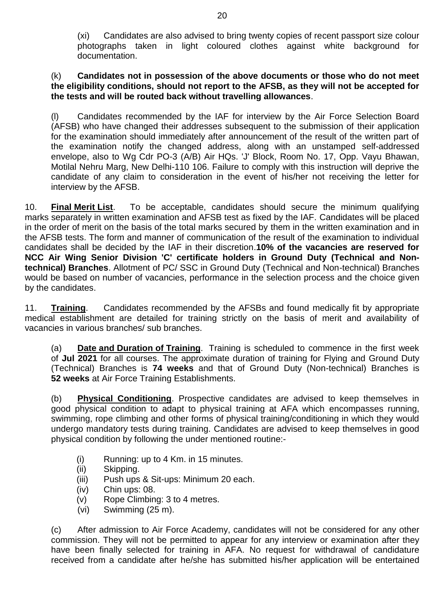(xi) Candidates are also advised to bring twenty copies of recent passport size colour photographs taken in light coloured clothes against white background for documentation.

#### (k) **Candidates not in possession of the above documents or those who do not meet the eligibility conditions, should not report to the AFSB, as they will not be accepted for the tests and will be routed back without travelling allowances**.

(l) Candidates recommended by the IAF for interview by the Air Force Selection Board (AFSB) who have changed their addresses subsequent to the submission of their application for the examination should immediately after announcement of the result of the written part of the examination notify the changed address, along with an unstamped self-addressed envelope, also to Wg Cdr PO-3 (A/B) Air HQs. 'J' Block, Room No. 17, Opp. Vayu Bhawan, Motilal Nehru Marg, New Delhi-110 106. Failure to comply with this instruction will deprive the candidate of any claim to consideration in the event of his/her not receiving the letter for interview by the AFSB.

10. **Final Merit List**. To be acceptable, candidates should secure the minimum qualifying marks separately in written examination and AFSB test as fixed by the IAF. Candidates will be placed in the order of merit on the basis of the total marks secured by them in the written examination and in the AFSB tests. The form and manner of communication of the result of the examination to individual candidates shall be decided by the IAF in their discretion.**10% of the vacancies are reserved for NCC Air Wing Senior Division 'C' certificate holders in Ground Duty (Technical and Nontechnical) Branches**. Allotment of PC/ SSC in Ground Duty (Technical and Non-technical) Branches would be based on number of vacancies, performance in the selection process and the choice given by the candidates.

11. **Training**. Candidates recommended by the AFSBs and found medically fit by appropriate medical establishment are detailed for training strictly on the basis of merit and availability of vacancies in various branches/ sub branches.

(a) **Date and Duration of Training**. Training is scheduled to commence in the first week of **Jul 2021** for all courses. The approximate duration of training for Flying and Ground Duty (Technical) Branches is **74 weeks** and that of Ground Duty (Non-technical) Branches is **52 weeks** at Air Force Training Establishments.

(b) **Physical Conditioning**. Prospective candidates are advised to keep themselves in good physical condition to adapt to physical training at AFA which encompasses running, swimming, rope climbing and other forms of physical training/conditioning in which they would undergo mandatory tests during training. Candidates are advised to keep themselves in good physical condition by following the under mentioned routine:-

- (i) Running: up to 4 Km. in 15 minutes.
- (ii) Skipping.
- (iii) Push ups & Sit-ups: Minimum 20 each.
- (iv) Chin ups: 08.
- (v) Rope Climbing: 3 to 4 metres.
- (vi) Swimming (25 m).

(c) After admission to Air Force Academy, candidates will not be considered for any other commission. They will not be permitted to appear for any interview or examination after they have been finally selected for training in AFA. No request for withdrawal of candidature received from a candidate after he/she has submitted his/her application will be entertained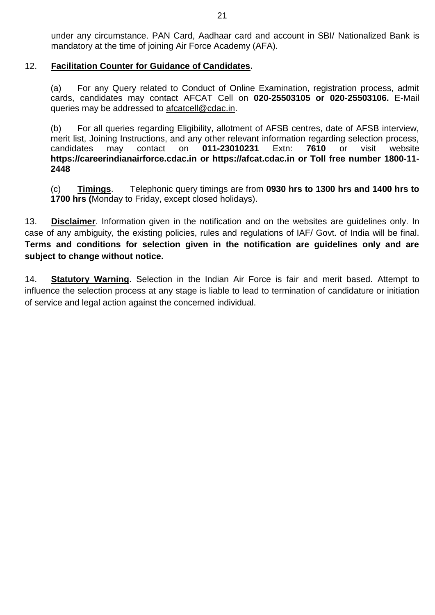under any circumstance. PAN Card, Aadhaar card and account in SBI/ Nationalized Bank is mandatory at the time of joining Air Force Academy (AFA).

#### 12. **Facilitation Counter for Guidance of Candidates.**

(a) For any Query related to Conduct of Online Examination, registration process, admit cards, candidates may contact AFCAT Cell on **020-25503105 or 020-25503106.** E-Mail queries may be addressed to [afcatcell@c](mailto:afcatcell@)dac.in.

(b) For all queries regarding Eligibility, allotment of AFSB centres, date of AFSB interview, merit list, Joining Instructions, and any other relevant information regarding selection process, candidates may contact on **011-23010231** Extn: **7610** or visit website **[https://careerindianairforce.cdac.in](https://careerindianairforce.cdac.in/) or https://afcat.cdac.in or Toll free number 1800-11- 2448**

(c) **Timings**. Telephonic query timings are from **0930 hrs to 1300 hrs and 1400 hrs to 1700 hrs (**Monday to Friday, except closed holidays).

13. **Disclaimer**. Information given in the notification and on the websites are guidelines only. In case of any ambiguity, the existing policies, rules and regulations of IAF/ Govt. of India will be final. **Terms and conditions for selection given in the notification are guidelines only and are subject to change without notice.** 

14. **Statutory Warning**. Selection in the Indian Air Force is fair and merit based. Attempt to influence the selection process at any stage is liable to lead to termination of candidature or initiation of service and legal action against the concerned individual.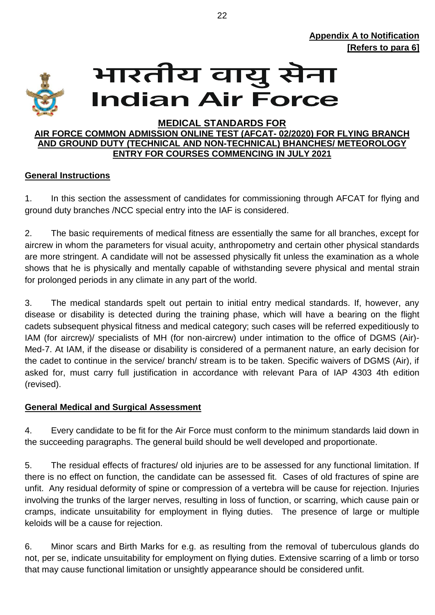

# भारतीय वायु सेना **Indian Air Force**

#### **MEDICAL STANDARDS FOR**

#### **AIR FORCE COMMON ADMISSION ONLINE TEST (AFCAT- 02/2020) FOR FLYING BRANCH AND GROUND DUTY (TECHNICAL AND NON-TECHNICAL) BHANCHES/ METEOROLOGY ENTRY FOR COURSES COMMENCING IN JULY 2021**

## **General Instructions**

1. In this section the assessment of candidates for commissioning through AFCAT for flying and ground duty branches /NCC special entry into the IAF is considered.

2. The basic requirements of medical fitness are essentially the same for all branches, except for aircrew in whom the parameters for visual acuity, anthropometry and certain other physical standards are more stringent. A candidate will not be assessed physically fit unless the examination as a whole shows that he is physically and mentally capable of withstanding severe physical and mental strain for prolonged periods in any climate in any part of the world.

3. The medical standards spelt out pertain to initial entry medical standards. If, however, any disease or disability is detected during the training phase, which will have a bearing on the flight cadets subsequent physical fitness and medical category; such cases will be referred expeditiously to IAM (for aircrew)/ specialists of MH (for non-aircrew) under intimation to the office of DGMS (Air)- Med-7. At IAM, if the disease or disability is considered of a permanent nature, an early decision for the cadet to continue in the service/ branch/ stream is to be taken. Specific waivers of DGMS (Air), if asked for, must carry full justification in accordance with relevant Para of IAP 4303 4th edition (revised).

## **General Medical and Surgical Assessment**

4. Every candidate to be fit for the Air Force must conform to the minimum standards laid down in the succeeding paragraphs. The general build should be well developed and proportionate.

5. The residual effects of fractures/ old injuries are to be assessed for any functional limitation. If there is no effect on function, the candidate can be assessed fit. Cases of old fractures of spine are unfit. Any residual deformity of spine or compression of a vertebra will be cause for rejection. Injuries involving the trunks of the larger nerves, resulting in loss of function, or scarring, which cause pain or cramps, indicate unsuitability for employment in flying duties. The presence of large or multiple keloids will be a cause for rejection.

6. Minor scars and Birth Marks for e.g. as resulting from the removal of tuberculous glands do not, per se, indicate unsuitability for employment on flying duties. Extensive scarring of a limb or torso that may cause functional limitation or unsightly appearance should be considered unfit.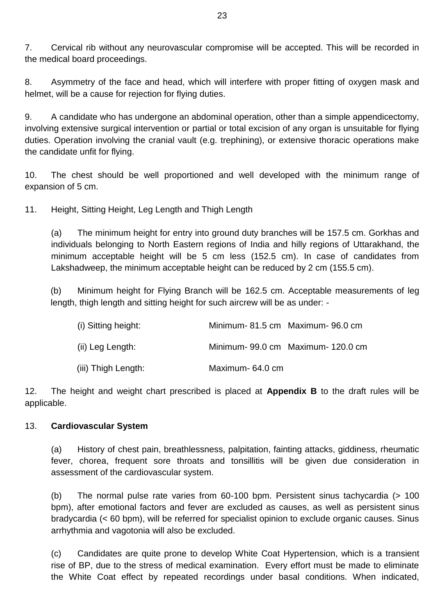7. Cervical rib without any neurovascular compromise will be accepted. This will be recorded in the medical board proceedings.

8. Asymmetry of the face and head, which will interfere with proper fitting of oxygen mask and helmet, will be a cause for rejection for flying duties.

9. A candidate who has undergone an abdominal operation, other than a simple appendicectomy, involving extensive surgical intervention or partial or total excision of any organ is unsuitable for flying duties. Operation involving the cranial vault (e.g. trephining), or extensive thoracic operations make the candidate unfit for flying.

10. The chest should be well proportioned and well developed with the minimum range of expansion of 5 cm.

11. Height, Sitting Height, Leg Length and Thigh Length

(a) The minimum height for entry into ground duty branches will be 157.5 cm. Gorkhas and individuals belonging to North Eastern regions of India and hilly regions of Uttarakhand, the minimum acceptable height will be 5 cm less (152.5 cm). In case of candidates from Lakshadweep, the minimum acceptable height can be reduced by 2 cm (155.5 cm).

(b) Minimum height for Flying Branch will be 162.5 cm. Acceptable measurements of leg length, thigh length and sitting height for such aircrew will be as under: -

| (i) Sitting height: |                  | Minimum-81.5 cm Maximum-96.0 cm  |
|---------------------|------------------|----------------------------------|
| (ii) Leg Length:    |                  | Minimum-99.0 cm Maximum-120.0 cm |
| (iii) Thigh Length: | Maximum- 64.0 cm |                                  |

12. The height and weight chart prescribed is placed at **Appendix B** to the draft rules will be applicable.

## 13. **Cardiovascular System**

(a) History of chest pain, breathlessness, palpitation, fainting attacks, giddiness, rheumatic fever, chorea, frequent sore throats and tonsillitis will be given due consideration in assessment of the cardiovascular system.

(b) The normal pulse rate varies from 60-100 bpm. Persistent sinus tachycardia (> 100 bpm), after emotional factors and fever are excluded as causes, as well as persistent sinus bradycardia (< 60 bpm), will be referred for specialist opinion to exclude organic causes. Sinus arrhythmia and vagotonia will also be excluded.

(c) Candidates are quite prone to develop White Coat Hypertension, which is a transient rise of BP, due to the stress of medical examination. Every effort must be made to eliminate the White Coat effect by repeated recordings under basal conditions. When indicated,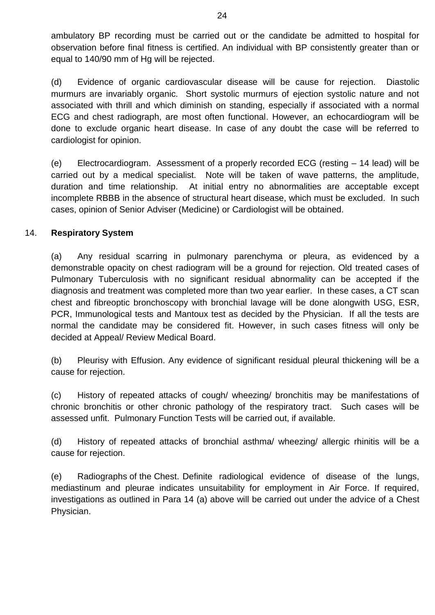ambulatory BP recording must be carried out or the candidate be admitted to hospital for observation before final fitness is certified. An individual with BP consistently greater than or equal to 140/90 mm of Hg will be rejected.

(d) Evidence of organic cardiovascular disease will be cause for rejection. Diastolic murmurs are invariably organic. Short systolic murmurs of ejection systolic nature and not associated with thrill and which diminish on standing, especially if associated with a normal ECG and chest radiograph, are most often functional. However, an echocardiogram will be done to exclude organic heart disease. In case of any doubt the case will be referred to cardiologist for opinion.

(e) Electrocardiogram. Assessment of a properly recorded ECG (resting – 14 lead) will be carried out by a medical specialist. Note will be taken of wave patterns, the amplitude, duration and time relationship. At initial entry no abnormalities are acceptable except incomplete RBBB in the absence of structural heart disease, which must be excluded. In such cases, opinion of Senior Adviser (Medicine) or Cardiologist will be obtained.

## 14. **Respiratory System**

(a) Any residual scarring in pulmonary parenchyma or pleura, as evidenced by a demonstrable opacity on chest radiogram will be a ground for rejection. Old treated cases of Pulmonary Tuberculosis with no significant residual abnormality can be accepted if the diagnosis and treatment was completed more than two year earlier. In these cases, a CT scan chest and fibreoptic bronchoscopy with bronchial lavage will be done alongwith USG, ESR, PCR, Immunological tests and Mantoux test as decided by the Physician. If all the tests are normal the candidate may be considered fit. However, in such cases fitness will only be decided at Appeal/ Review Medical Board.

(b) Pleurisy with Effusion. Any evidence of significant residual pleural thickening will be a cause for rejection.

(c) History of repeated attacks of cough/ wheezing/ bronchitis may be manifestations of chronic bronchitis or other chronic pathology of the respiratory tract. Such cases will be assessed unfit. Pulmonary Function Tests will be carried out, if available.

(d) History of repeated attacks of bronchial asthma/ wheezing/ allergic rhinitis will be a cause for rejection.

(e) Radiographs of the Chest. Definite radiological evidence of disease of the lungs, mediastinum and pleurae indicates unsuitability for employment in Air Force. If required, investigations as outlined in Para 14 (a) above will be carried out under the advice of a Chest Physician.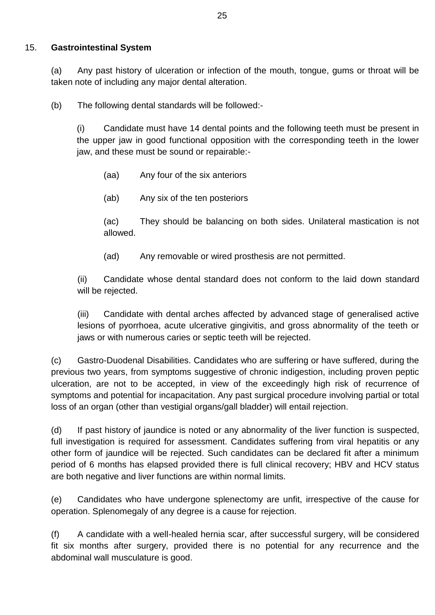## 15. **Gastrointestinal System**

(a) Any past history of ulceration or infection of the mouth, tongue, gums or throat will be taken note of including any major dental alteration.

(b) The following dental standards will be followed:-

(i) Candidate must have 14 dental points and the following teeth must be present in the upper jaw in good functional opposition with the corresponding teeth in the lower jaw, and these must be sound or repairable:-

(aa) Any four of the six anteriors

(ab) Any six of the ten posteriors

(ac) They should be balancing on both sides. Unilateral mastication is not allowed.

(ad) Any removable or wired prosthesis are not permitted.

(ii) Candidate whose dental standard does not conform to the laid down standard will be rejected.

(iii) Candidate with dental arches affected by advanced stage of generalised active lesions of pyorrhoea, acute ulcerative gingivitis, and gross abnormality of the teeth or jaws or with numerous caries or septic teeth will be rejected.

(c) Gastro-Duodenal Disabilities. Candidates who are suffering or have suffered, during the previous two years, from symptoms suggestive of chronic indigestion, including proven peptic ulceration, are not to be accepted, in view of the exceedingly high risk of recurrence of symptoms and potential for incapacitation. Any past surgical procedure involving partial or total loss of an organ (other than vestigial organs/gall bladder) will entail rejection.

(d) If past history of jaundice is noted or any abnormality of the liver function is suspected, full investigation is required for assessment. Candidates suffering from viral hepatitis or any other form of jaundice will be rejected. Such candidates can be declared fit after a minimum period of 6 months has elapsed provided there is full clinical recovery; HBV and HCV status are both negative and liver functions are within normal limits.

(e) Candidates who have undergone splenectomy are unfit, irrespective of the cause for operation. Splenomegaly of any degree is a cause for rejection.

(f) A candidate with a well-healed hernia scar, after successful surgery, will be considered fit six months after surgery, provided there is no potential for any recurrence and the abdominal wall musculature is good.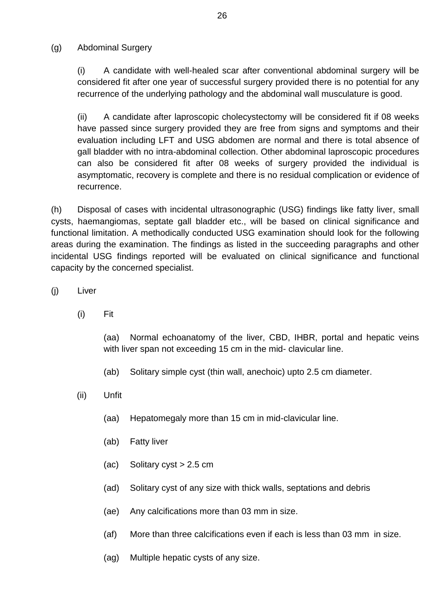(g) Abdominal Surgery

(i) A candidate with well-healed scar after conventional abdominal surgery will be considered fit after one year of successful surgery provided there is no potential for any recurrence of the underlying pathology and the abdominal wall musculature is good.

(ii) A candidate after laproscopic cholecystectomy will be considered fit if 08 weeks have passed since surgery provided they are free from signs and symptoms and their evaluation including LFT and USG abdomen are normal and there is total absence of gall bladder with no intra-abdominal collection. Other abdominal laproscopic procedures can also be considered fit after 08 weeks of surgery provided the individual is asymptomatic, recovery is complete and there is no residual complication or evidence of recurrence.

(h) Disposal of cases with incidental ultrasonographic (USG) findings like fatty liver, small cysts, haemangiomas, septate gall bladder etc., will be based on clinical significance and functional limitation. A methodically conducted USG examination should look for the following areas during the examination. The findings as listed in the succeeding paragraphs and other incidental USG findings reported will be evaluated on clinical significance and functional capacity by the concerned specialist.

- (j) Liver
	- (i) Fit

(aa) Normal echoanatomy of the liver, CBD, IHBR, portal and hepatic veins with liver span not exceeding 15 cm in the mid- clavicular line.

- (ab) Solitary simple cyst (thin wall, anechoic) upto 2.5 cm diameter.
- (ii) Unfit
	- (aa) Hepatomegaly more than 15 cm in mid-clavicular line.
	- (ab) Fatty liver
	- $(ac)$  Solitary cyst  $> 2.5$  cm
	- (ad) Solitary cyst of any size with thick walls, septations and debris
	- (ae) Any calcifications more than 03 mm in size.
	- (af) More than three calcifications even if each is less than 03 mm in size.
	- (ag) Multiple hepatic cysts of any size.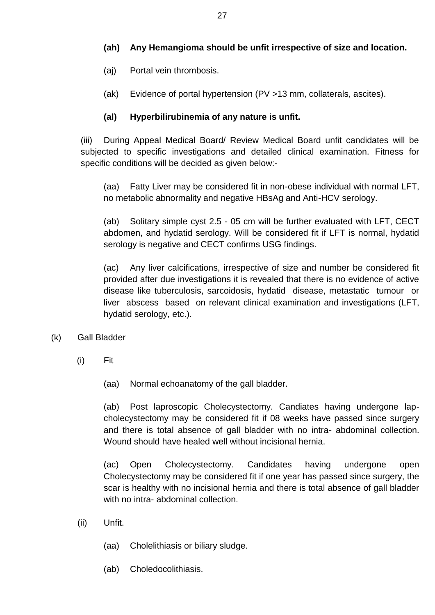## **(ah) Any Hemangioma should be unfit irrespective of size and location.**

- (aj) Portal vein thrombosis.
- (ak) Evidence of portal hypertension (PV >13 mm, collaterals, ascites).

## **(al) Hyperbilirubinemia of any nature is unfit.**

(iii) During Appeal Medical Board/ Review Medical Board unfit candidates will be subjected to specific investigations and detailed clinical examination. Fitness for specific conditions will be decided as given below:-

(aa) Fatty Liver may be considered fit in non-obese individual with normal LFT, no metabolic abnormality and negative HBsAg and Anti-HCV serology.

(ab) Solitary simple cyst 2.5 - 05 cm will be further evaluated with LFT, CECT abdomen, and hydatid serology. Will be considered fit if LFT is normal, hydatid serology is negative and CECT confirms USG findings.

(ac) Any liver calcifications, irrespective of size and number be considered fit provided after due investigations it is revealed that there is no evidence of active disease like tuberculosis, sarcoidosis, hydatid disease, metastatic tumour or liver abscess based on relevant clinical examination and investigations (LFT, hydatid serology, etc.).

## (k) Gall Bladder

(i) Fit

(aa) Normal echoanatomy of the gall bladder.

(ab) Post laproscopic Cholecystectomy. Candiates having undergone lapcholecystectomy may be considered fit if 08 weeks have passed since surgery and there is total absence of gall bladder with no intra- abdominal collection. Wound should have healed well without incisional hernia.

(ac) Open Cholecystectomy. Candidates having undergone open Cholecystectomy may be considered fit if one year has passed since surgery, the scar is healthy with no incisional hernia and there is total absence of gall bladder with no intra- abdominal collection.

- (ii) Unfit.
	- (aa) Cholelithiasis or biliary sludge.
	- (ab) Choledocolithiasis.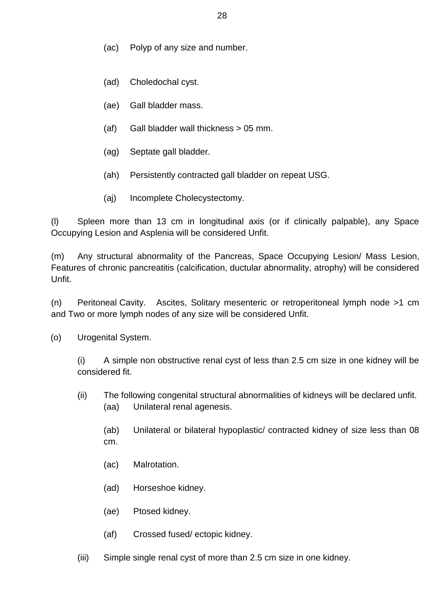- (ac) Polyp of any size and number.
- (ad) Choledochal cyst.
- (ae) Gall bladder mass.
- (af) Gall bladder wall thickness > 05 mm.
- (ag) Septate gall bladder.
- (ah) Persistently contracted gall bladder on repeat USG.
- (aj) Incomplete Cholecystectomy.

(l) Spleen more than 13 cm in longitudinal axis (or if clinically palpable), any Space Occupying Lesion and Asplenia will be considered Unfit.

(m) Any structural abnormality of the Pancreas, Space Occupying Lesion/ Mass Lesion, Features of chronic pancreatitis (calcification, ductular abnormality, atrophy) will be considered Unfit.

(n) Peritoneal Cavity. Ascites, Solitary mesenteric or retroperitoneal lymph node >1 cm and Two or more lymph nodes of any size will be considered Unfit.

(o) Urogenital System.

(i) A simple non obstructive renal cyst of less than 2.5 cm size in one kidney will be considered fit.

(ii) The following congenital structural abnormalities of kidneys will be declared unfit. (aa) Unilateral renal agenesis.

(ab) Unilateral or bilateral hypoplastic/ contracted kidney of size less than 08 cm.

- (ac) Malrotation.
- (ad) Horseshoe kidney.
- (ae) Ptosed kidney.
- (af) Crossed fused/ ectopic kidney.
- (iii) Simple single renal cyst of more than 2.5 cm size in one kidney.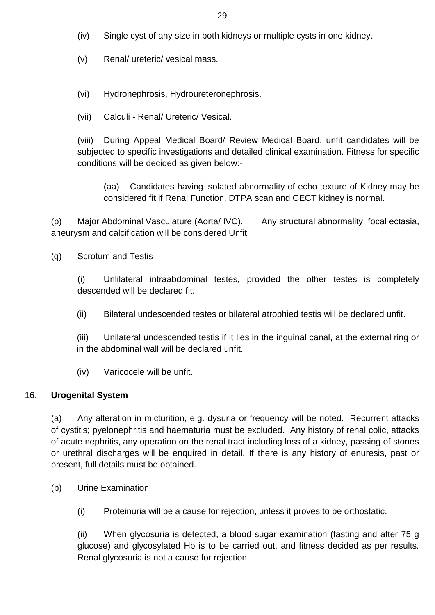- (iv) Single cyst of any size in both kidneys or multiple cysts in one kidney.
- (v) Renal/ ureteric/ vesical mass.
- (vi) Hydronephrosis, Hydroureteronephrosis.
- (vii) Calculi Renal/ Ureteric/ Vesical.

(viii) During Appeal Medical Board/ Review Medical Board, unfit candidates will be subjected to specific investigations and detailed clinical examination. Fitness for specific conditions will be decided as given below:-

(aa) Candidates having isolated abnormality of echo texture of Kidney may be considered fit if Renal Function, DTPA scan and CECT kidney is normal.

(p) Major Abdominal Vasculature (Aorta/ IVC). Any structural abnormality, focal ectasia, aneurysm and calcification will be considered Unfit.

(q) Scrotum and Testis

(i) Unlilateral intraabdominal testes, provided the other testes is completely descended will be declared fit.

(ii) Bilateral undescended testes or bilateral atrophied testis will be declared unfit.

(iii) Unilateral undescended testis if it lies in the inguinal canal, at the external ring or in the abdominal wall will be declared unfit.

(iv) Varicocele will be unfit.

#### 16. **Urogenital System**

(a) Any alteration in micturition, e.g. dysuria or frequency will be noted. Recurrent attacks of cystitis; pyelonephritis and haematuria must be excluded. Any history of renal colic, attacks of acute nephritis, any operation on the renal tract including loss of a kidney, passing of stones or urethral discharges will be enquired in detail. If there is any history of enuresis, past or present, full details must be obtained.

- (b) Urine Examination
	- (i) Proteinuria will be a cause for rejection, unless it proves to be orthostatic.

(ii) When glycosuria is detected, a blood sugar examination (fasting and after 75 g glucose) and glycosylated Hb is to be carried out, and fitness decided as per results. Renal glycosuria is not a cause for rejection.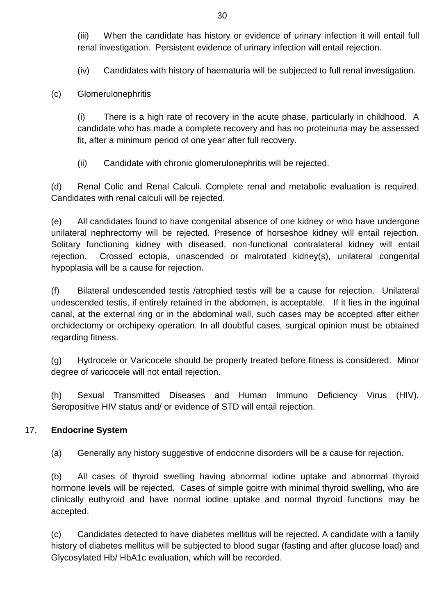(iii) When the candidate has history or evidence of urinary infection it will entail full renal investigation. Persistent evidence of urinary infection will entail rejection.

(iv) Candidates with history of haematuria will be subjected to full renal investigation.

(c) Glomerulonephritis

(i) There is a high rate of recovery in the acute phase, particularly in childhood. A candidate who has made a complete recovery and has no proteinuria may be assessed fit, after a minimum period of one year after full recovery.

(ii) Candidate with chronic glomerulonephritis will be rejected.

(d) Renal Colic and Renal Calculi. Complete renal and metabolic evaluation is required. Candidates with renal calculi will be rejected.

(e) All candidates found to have congenital absence of one kidney or who have undergone unilateral nephrectomy will be rejected. Presence of horseshoe kidney will entail rejection. Solitary functioning kidney with diseased, non-functional contralateral kidney will entail rejection. Crossed ectopia, unascended or malrotated kidney(s), unilateral congenital hypoplasia will be a cause for rejection.

(f) Bilateral undescended testis /atrophied testis will be a cause for rejection. Unilateral undescended testis, if entirely retained in the abdomen, is acceptable. If it lies in the inguinal canal, at the external ring or in the abdominal wall, such cases may be accepted after either orchidectomy or orchipexy operation. In all doubtful cases, surgical opinion must be obtained regarding fitness.

(g) Hydrocele or Varicocele should be properly treated before fitness is considered. Minor degree of varicocele will not entail rejection.

(h) Sexual Transmitted Diseases and Human Immuno Deficiency Virus (HIV). Seropositive HIV status and/ or evidence of STD will entail rejection.

## 17. **Endocrine System**

(a) Generally any history suggestive of endocrine disorders will be a cause for rejection.

(b) All cases of thyroid swelling having abnormal iodine uptake and abnormal thyroid hormone levels will be rejected. Cases of simple goitre with minimal thyroid swelling, who are clinically euthyroid and have normal iodine uptake and normal thyroid functions may be accepted.

(c) Candidates detected to have diabetes mellitus will be rejected. A candidate with a family history of diabetes mellitus will be subjected to blood sugar (fasting and after glucose load) and Glycosylated Hb/ HbA1c evaluation, which will be recorded.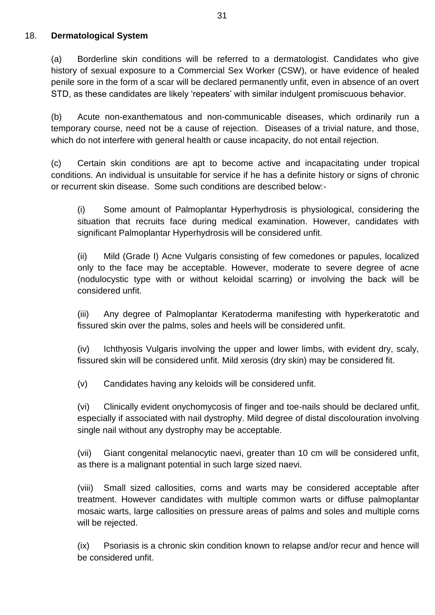#### 18. **Dermatological System**

(a) Borderline skin conditions will be referred to a dermatologist. Candidates who give history of sexual exposure to a Commercial Sex Worker (CSW), or have evidence of healed penile sore in the form of a scar will be declared permanently unfit, even in absence of an overt STD, as these candidates are likely 'repeaters' with similar indulgent promiscuous behavior.

(b) Acute non-exanthematous and non-communicable diseases, which ordinarily run a temporary course, need not be a cause of rejection. Diseases of a trivial nature, and those, which do not interfere with general health or cause incapacity, do not entail rejection.

(c) Certain skin conditions are apt to become active and incapacitating under tropical conditions. An individual is unsuitable for service if he has a definite history or signs of chronic or recurrent skin disease. Some such conditions are described below:-

(i) Some amount of Palmoplantar Hyperhydrosis is physiological, considering the situation that recruits face during medical examination. However, candidates with significant Palmoplantar Hyperhydrosis will be considered unfit.

(ii) Mild (Grade I) Acne Vulgaris consisting of few comedones or papules, localized only to the face may be acceptable. However, moderate to severe degree of acne (nodulocystic type with or without keloidal scarring) or involving the back will be considered unfit.

(iii) Any degree of Palmoplantar Keratoderma manifesting with hyperkeratotic and fissured skin over the palms, soles and heels will be considered unfit.

(iv) Ichthyosis Vulgaris involving the upper and lower limbs, with evident dry, scaly, fissured skin will be considered unfit. Mild xerosis (dry skin) may be considered fit.

(v) Candidates having any keloids will be considered unfit.

(vi) Clinically evident onychomycosis of finger and toe-nails should be declared unfit, especially if associated with nail dystrophy. Mild degree of distal discolouration involving single nail without any dystrophy may be acceptable.

(vii) Giant congenital melanocytic naevi, greater than 10 cm will be considered unfit, as there is a malignant potential in such large sized naevi.

(viii) Small sized callosities, corns and warts may be considered acceptable after treatment. However candidates with multiple common warts or diffuse palmoplantar mosaic warts, large callosities on pressure areas of palms and soles and multiple corns will be rejected.

(ix) Psoriasis is a chronic skin condition known to relapse and/or recur and hence will be considered unfit.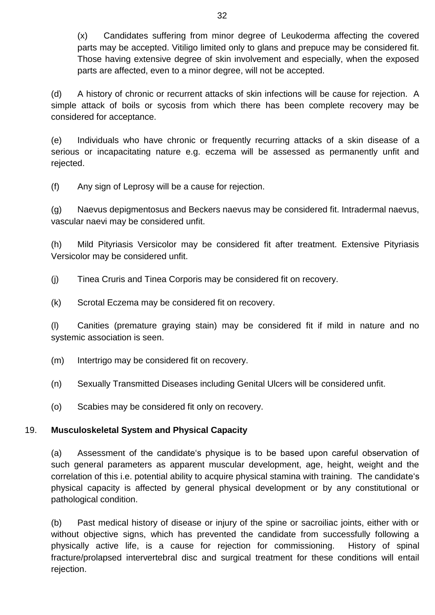(x) Candidates suffering from minor degree of Leukoderma affecting the covered parts may be accepted. Vitiligo limited only to glans and prepuce may be considered fit. Those having extensive degree of skin involvement and especially, when the exposed parts are affected, even to a minor degree, will not be accepted.

(d) A history of chronic or recurrent attacks of skin infections will be cause for rejection. A simple attack of boils or sycosis from which there has been complete recovery may be considered for acceptance.

(e) Individuals who have chronic or frequently recurring attacks of a skin disease of a serious or incapacitating nature e.g. eczema will be assessed as permanently unfit and rejected.

(f) Any sign of Leprosy will be a cause for rejection.

(g) Naevus depigmentosus and Beckers naevus may be considered fit. Intradermal naevus, vascular naevi may be considered unfit.

(h) Mild Pityriasis Versicolor may be considered fit after treatment. Extensive Pityriasis Versicolor may be considered unfit.

(j) Tinea Cruris and Tinea Corporis may be considered fit on recovery.

(k) Scrotal Eczema may be considered fit on recovery.

(l) Canities (premature graying stain) may be considered fit if mild in nature and no systemic association is seen.

(m) Intertrigo may be considered fit on recovery.

(n) Sexually Transmitted Diseases including Genital Ulcers will be considered unfit.

(o) Scabies may be considered fit only on recovery.

## 19. **Musculoskeletal System and Physical Capacity**

(a) Assessment of the candidate's physique is to be based upon careful observation of such general parameters as apparent muscular development, age, height, weight and the correlation of this i.e. potential ability to acquire physical stamina with training. The candidate's physical capacity is affected by general physical development or by any constitutional or pathological condition.

(b) Past medical history of disease or injury of the spine or sacroiliac joints, either with or without objective signs, which has prevented the candidate from successfully following a physically active life, is a cause for rejection for commissioning. History of spinal fracture/prolapsed intervertebral disc and surgical treatment for these conditions will entail rejection.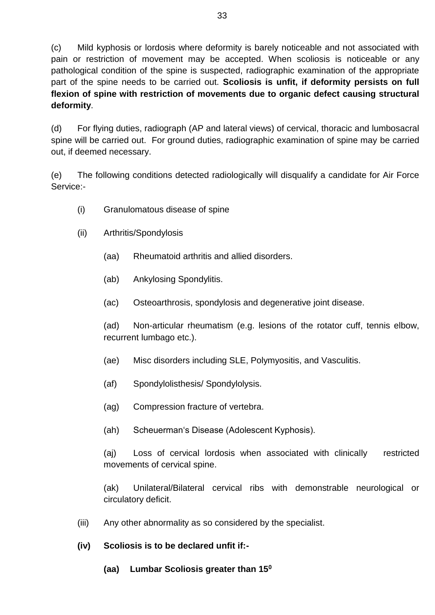(c) Mild kyphosis or lordosis where deformity is barely noticeable and not associated with pain or restriction of movement may be accepted. When scoliosis is noticeable or any pathological condition of the spine is suspected, radiographic examination of the appropriate part of the spine needs to be carried out. **Scoliosis is unfit, if deformity persists on full flexion of spine with restriction of movements due to organic defect causing structural deformity**.

(d) For flying duties, radiograph (AP and lateral views) of cervical, thoracic and lumbosacral spine will be carried out. For ground duties, radiographic examination of spine may be carried out, if deemed necessary.

(e) The following conditions detected radiologically will disqualify a candidate for Air Force Service:-

- (i) Granulomatous disease of spine
- (ii) Arthritis/Spondylosis
	- (aa) Rheumatoid arthritis and allied disorders.
	- (ab) Ankylosing Spondylitis.
	- (ac) Osteoarthrosis, spondylosis and degenerative joint disease.

(ad) Non-articular rheumatism (e.g. lesions of the rotator cuff, tennis elbow, recurrent lumbago etc.).

- (ae) Misc disorders including SLE, Polymyositis, and Vasculitis.
- (af) Spondylolisthesis/ Spondylolysis.
- (ag) Compression fracture of vertebra.
- (ah) Scheuerman's Disease (Adolescent Kyphosis).

(aj) Loss of cervical lordosis when associated with clinically restricted movements of cervical spine.

(ak) Unilateral/Bilateral cervical ribs with demonstrable neurological or circulatory deficit.

(iii) Any other abnormality as so considered by the specialist.

## **(iv) Scoliosis is to be declared unfit if:-**

**(aa) Lumbar Scoliosis greater than 15<sup>0</sup>**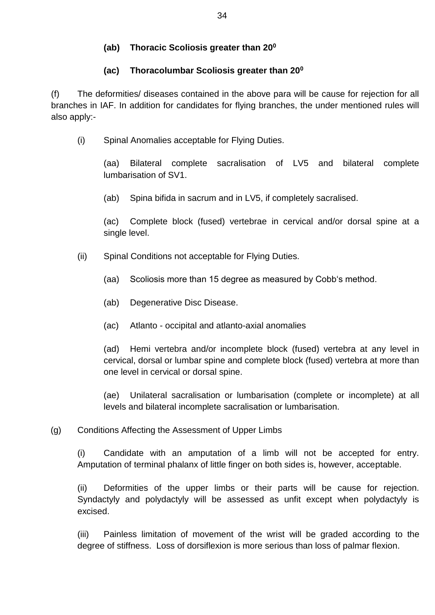## **(ab) Thoracic Scoliosis greater than 20<sup>0</sup>**

## **(ac) Thoracolumbar Scoliosis greater than 20<sup>0</sup>**

(f) The deformities/ diseases contained in the above para will be cause for rejection for all branches in IAF. In addition for candidates for flying branches, the under mentioned rules will also apply:-

(i) Spinal Anomalies acceptable for Flying Duties.

(aa) Bilateral complete sacralisation of LV5 and bilateral complete lumbarisation of SV1.

(ab) Spina bifida in sacrum and in LV5, if completely sacralised.

(ac) Complete block (fused) vertebrae in cervical and/or dorsal spine at a single level.

- (ii) Spinal Conditions not acceptable for Flying Duties.
	- (aa) Scoliosis more than 15 degree as measured by Cobb's method.
	- (ab) Degenerative Disc Disease.
	- (ac) Atlanto occipital and atlanto-axial anomalies

(ad) Hemi vertebra and/or incomplete block (fused) vertebra at any level in cervical, dorsal or lumbar spine and complete block (fused) vertebra at more than one level in cervical or dorsal spine.

(ae) Unilateral sacralisation or lumbarisation (complete or incomplete) at all levels and bilateral incomplete sacralisation or lumbarisation.

## (g) Conditions Affecting the Assessment of Upper Limbs

(i) Candidate with an amputation of a limb will not be accepted for entry. Amputation of terminal phalanx of little finger on both sides is, however, acceptable.

(ii) Deformities of the upper limbs or their parts will be cause for rejection. Syndactyly and polydactyly will be assessed as unfit except when polydactyly is excised.

(iii) Painless limitation of movement of the wrist will be graded according to the degree of stiffness. Loss of dorsiflexion is more serious than loss of palmar flexion.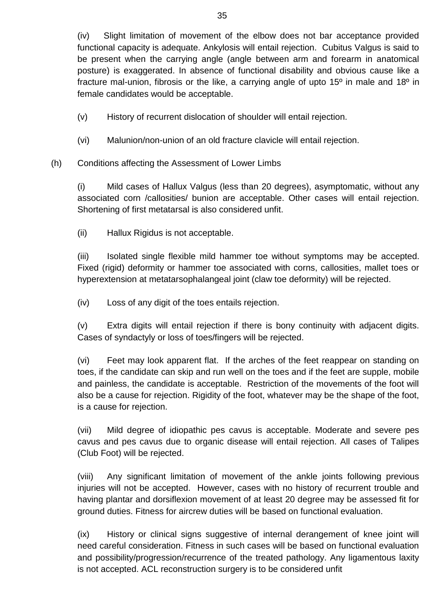- (v) History of recurrent dislocation of shoulder will entail rejection.
- (vi) Malunion/non-union of an old fracture clavicle will entail rejection.
- (h) Conditions affecting the Assessment of Lower Limbs

(i) Mild cases of Hallux Valgus (less than 20 degrees), asymptomatic, without any associated corn /callosities/ bunion are acceptable. Other cases will entail rejection. Shortening of first metatarsal is also considered unfit.

(ii) Hallux Rigidus is not acceptable.

(iii) Isolated single flexible mild hammer toe without symptoms may be accepted. Fixed (rigid) deformity or hammer toe associated with corns, callosities, mallet toes or hyperextension at metatarsophalangeal joint (claw toe deformity) will be rejected.

(iv) Loss of any digit of the toes entails rejection.

(v) Extra digits will entail rejection if there is bony continuity with adjacent digits. Cases of syndactyly or loss of toes/fingers will be rejected.

(vi) Feet may look apparent flat. If the arches of the feet reappear on standing on toes, if the candidate can skip and run well on the toes and if the feet are supple, mobile and painless, the candidate is acceptable. Restriction of the movements of the foot will also be a cause for rejection. Rigidity of the foot, whatever may be the shape of the foot, is a cause for rejection.

(vii) Mild degree of idiopathic pes cavus is acceptable. Moderate and severe pes cavus and pes cavus due to organic disease will entail rejection. All cases of Talipes (Club Foot) will be rejected.

(viii) Any significant limitation of movement of the ankle joints following previous injuries will not be accepted. However, cases with no history of recurrent trouble and having plantar and dorsiflexion movement of at least 20 degree may be assessed fit for ground duties. Fitness for aircrew duties will be based on functional evaluation.

(ix) History or clinical signs suggestive of internal derangement of knee joint will need careful consideration. Fitness in such cases will be based on functional evaluation and possibility/progression/recurrence of the treated pathology. Any ligamentous laxity is not accepted. ACL reconstruction surgery is to be considered unfit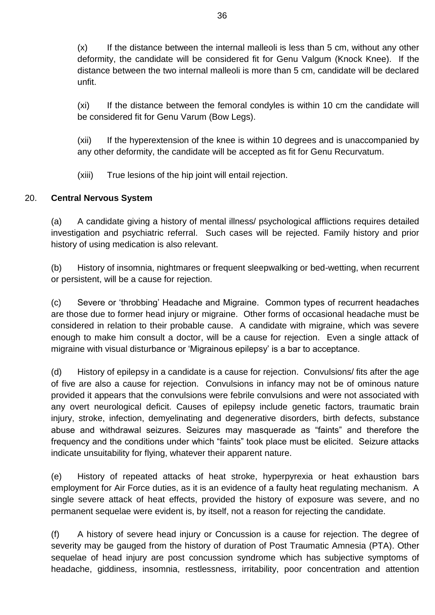$(x)$  If the distance between the internal malleoli is less than 5 cm, without any other deformity, the candidate will be considered fit for Genu Valgum (Knock Knee). If the distance between the two internal malleoli is more than 5 cm, candidate will be declared unfit.

(xi) If the distance between the femoral condyles is within 10 cm the candidate will be considered fit for Genu Varum (Bow Legs).

(xii) If the hyperextension of the knee is within 10 degrees and is unaccompanied by any other deformity, the candidate will be accepted as fit for Genu Recurvatum.

(xiii) True lesions of the hip joint will entail rejection.

## 20. **Central Nervous System**

(a) A candidate giving a history of mental illness/ psychological afflictions requires detailed investigation and psychiatric referral. Such cases will be rejected. Family history and prior history of using medication is also relevant.

(b) History of insomnia, nightmares or frequent sleepwalking or bed-wetting, when recurrent or persistent, will be a cause for rejection.

(c) Severe or 'throbbing' Headache and Migraine. Common types of recurrent headaches are those due to former head injury or migraine. Other forms of occasional headache must be considered in relation to their probable cause. A candidate with migraine, which was severe enough to make him consult a doctor, will be a cause for rejection. Even a single attack of migraine with visual disturbance or 'Migrainous epilepsy' is a bar to acceptance.

(d) History of epilepsy in a candidate is a cause for rejection. Convulsions/ fits after the age of five are also a cause for rejection. Convulsions in infancy may not be of ominous nature provided it appears that the convulsions were febrile convulsions and were not associated with any overt neurological deficit. Causes of epilepsy include genetic factors, traumatic brain injury, stroke, infection, demyelinating and degenerative disorders, birth defects, substance abuse and withdrawal seizures. Seizures may masquerade as "faints" and therefore the frequency and the conditions under which "faints" took place must be elicited. Seizure attacks indicate unsuitability for flying, whatever their apparent nature.

(e) History of repeated attacks of heat stroke, hyperpyrexia or heat exhaustion bars employment for Air Force duties, as it is an evidence of a faulty heat regulating mechanism. A single severe attack of heat effects, provided the history of exposure was severe, and no permanent sequelae were evident is, by itself, not a reason for rejecting the candidate.

(f) A history of severe head injury or Concussion is a cause for rejection. The degree of severity may be gauged from the history of duration of Post Traumatic Amnesia (PTA). Other sequelae of head injury are post concussion syndrome which has subjective symptoms of headache, giddiness, insomnia, restlessness, irritability, poor concentration and attention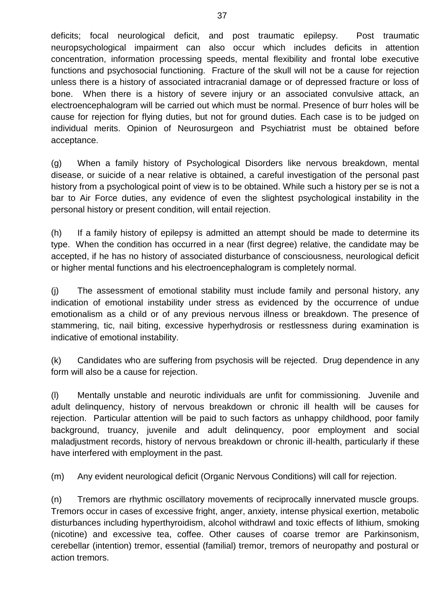deficits; focal neurological deficit, and post traumatic epilepsy. Post traumatic neuropsychological impairment can also occur which includes deficits in attention concentration, information processing speeds, mental flexibility and frontal lobe executive functions and psychosocial functioning. Fracture of the skull will not be a cause for rejection unless there is a history of associated intracranial damage or of depressed fracture or loss of bone. When there is a history of severe injury or an associated convulsive attack, an electroencephalogram will be carried out which must be normal. Presence of burr holes will be cause for rejection for flying duties, but not for ground duties. Each case is to be judged on individual merits. Opinion of Neurosurgeon and Psychiatrist must be obtained before acceptance.

(g) When a family history of Psychological Disorders like nervous breakdown, mental disease, or suicide of a near relative is obtained, a careful investigation of the personal past history from a psychological point of view is to be obtained. While such a history per se is not a bar to Air Force duties, any evidence of even the slightest psychological instability in the personal history or present condition, will entail rejection.

(h) If a family history of epilepsy is admitted an attempt should be made to determine its type. When the condition has occurred in a near (first degree) relative, the candidate may be accepted, if he has no history of associated disturbance of consciousness, neurological deficit or higher mental functions and his electroencephalogram is completely normal.

(j) The assessment of emotional stability must include family and personal history, any indication of emotional instability under stress as evidenced by the occurrence of undue emotionalism as a child or of any previous nervous illness or breakdown. The presence of stammering, tic, nail biting, excessive hyperhydrosis or restlessness during examination is indicative of emotional instability.

(k) Candidates who are suffering from psychosis will be rejected. Drug dependence in any form will also be a cause for rejection.

(l) Mentally unstable and neurotic individuals are unfit for commissioning. Juvenile and adult delinquency, history of nervous breakdown or chronic ill health will be causes for rejection. Particular attention will be paid to such factors as unhappy childhood, poor family background, truancy, juvenile and adult delinquency, poor employment and social maladjustment records, history of nervous breakdown or chronic ill-health, particularly if these have interfered with employment in the past.

(m) Any evident neurological deficit (Organic Nervous Conditions) will call for rejection.

(n) Tremors are rhythmic oscillatory movements of reciprocally innervated muscle groups. Tremors occur in cases of excessive fright, anger, anxiety, intense physical exertion, metabolic disturbances including hyperthyroidism, alcohol withdrawl and toxic effects of lithium, smoking (nicotine) and excessive tea, coffee. Other causes of coarse tremor are Parkinsonism, cerebellar (intention) tremor, essential (familial) tremor, tremors of neuropathy and postural or action tremors.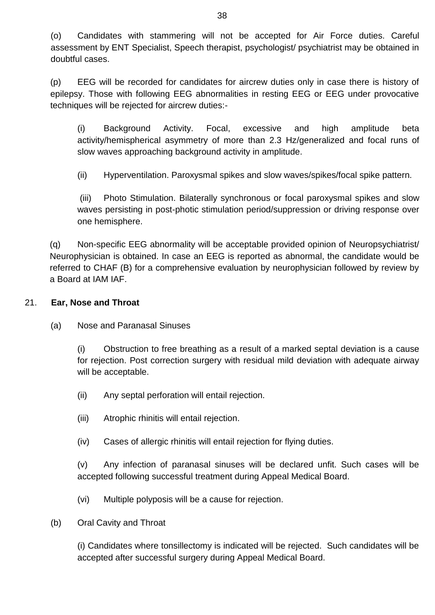(o) Candidates with stammering will not be accepted for Air Force duties. Careful assessment by ENT Specialist, Speech therapist, psychologist/ psychiatrist may be obtained in doubtful cases.

(p) EEG will be recorded for candidates for aircrew duties only in case there is history of epilepsy. Those with following EEG abnormalities in resting EEG or EEG under provocative techniques will be rejected for aircrew duties:-

(i) Background Activity. Focal, excessive and high amplitude beta activity/hemispherical asymmetry of more than 2.3 Hz/generalized and focal runs of slow waves approaching background activity in amplitude.

(ii) Hyperventilation. Paroxysmal spikes and slow waves/spikes/focal spike pattern.

(iii) Photo Stimulation. Bilaterally synchronous or focal paroxysmal spikes and slow waves persisting in post-photic stimulation period/suppression or driving response over one hemisphere.

(q) Non-specific EEG abnormality will be acceptable provided opinion of Neuropsychiatrist/ Neurophysician is obtained. In case an EEG is reported as abnormal, the candidate would be referred to CHAF (B) for a comprehensive evaluation by neurophysician followed by review by a Board at IAM IAF.

## 21. **Ear, Nose and Throat**

(a) Nose and Paranasal Sinuses

(i) Obstruction to free breathing as a result of a marked septal deviation is a cause for rejection. Post correction surgery with residual mild deviation with adequate airway will be acceptable.

- (ii) Any septal perforation will entail rejection.
- (iii) Atrophic rhinitis will entail rejection.
- (iv) Cases of allergic rhinitis will entail rejection for flying duties.

(v) Any infection of paranasal sinuses will be declared unfit. Such cases will be accepted following successful treatment during Appeal Medical Board.

- (vi) Multiple polyposis will be a cause for rejection.
- (b) Oral Cavity and Throat

(i) Candidates where tonsillectomy is indicated will be rejected. Such candidates will be accepted after successful surgery during Appeal Medical Board.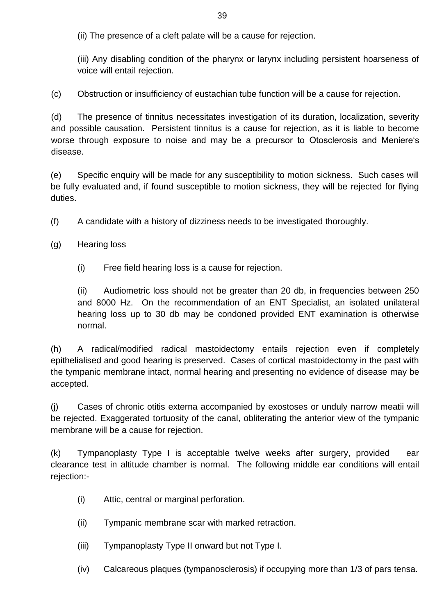(ii) The presence of a cleft palate will be a cause for rejection.

(iii) Any disabling condition of the pharynx or larynx including persistent hoarseness of voice will entail rejection.

(c) Obstruction or insufficiency of eustachian tube function will be a cause for rejection.

(d) The presence of tinnitus necessitates investigation of its duration, localization, severity and possible causation. Persistent tinnitus is a cause for rejection, as it is liable to become worse through exposure to noise and may be a precursor to Otosclerosis and Meniere's disease.

(e) Specific enquiry will be made for any susceptibility to motion sickness. Such cases will be fully evaluated and, if found susceptible to motion sickness, they will be rejected for flying duties.

- (f) A candidate with a history of dizziness needs to be investigated thoroughly.
- (g) Hearing loss
	- (i) Free field hearing loss is a cause for rejection.

(ii) Audiometric loss should not be greater than 20 db, in frequencies between 250 and 8000 Hz. On the recommendation of an ENT Specialist, an isolated unilateral hearing loss up to 30 db may be condoned provided ENT examination is otherwise normal.

(h) A radical/modified radical mastoidectomy entails rejection even if completely epithelialised and good hearing is preserved. Cases of cortical mastoidectomy in the past with the tympanic membrane intact, normal hearing and presenting no evidence of disease may be accepted.

(j) Cases of chronic otitis externa accompanied by exostoses or unduly narrow meatii will be rejected. Exaggerated tortuosity of the canal, obliterating the anterior view of the tympanic membrane will be a cause for rejection.

(k) Tympanoplasty Type I is acceptable twelve weeks after surgery, provided ear clearance test in altitude chamber is normal. The following middle ear conditions will entail rejection:-

- (i) Attic, central or marginal perforation.
- (ii) Tympanic membrane scar with marked retraction.
- (iii) Tympanoplasty Type II onward but not Type I.
- (iv) Calcareous plaques (tympanosclerosis) if occupying more than 1/3 of pars tensa.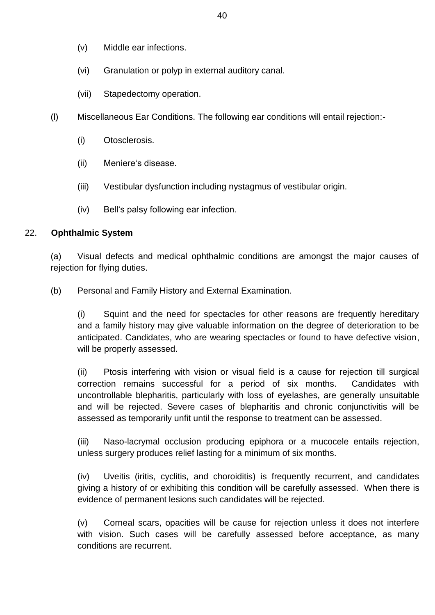- (v) Middle ear infections.
- (vi) Granulation or polyp in external auditory canal.
- (vii) Stapedectomy operation.
- (l) Miscellaneous Ear Conditions. The following ear conditions will entail rejection:-
	- (i) Otosclerosis.
	- (ii) Meniere's disease.
	- (iii) Vestibular dysfunction including nystagmus of vestibular origin.
	- (iv) Bell's palsy following ear infection.

## 22. **Ophthalmic System**

(a) Visual defects and medical ophthalmic conditions are amongst the major causes of rejection for flying duties.

(b) Personal and Family History and External Examination.

(i) Squint and the need for spectacles for other reasons are frequently hereditary and a family history may give valuable information on the degree of deterioration to be anticipated. Candidates, who are wearing spectacles or found to have defective vision, will be properly assessed.

(ii) Ptosis interfering with vision or visual field is a cause for rejection till surgical correction remains successful for a period of six months. Candidates with uncontrollable blepharitis, particularly with loss of eyelashes, are generally unsuitable and will be rejected. Severe cases of blepharitis and chronic conjunctivitis will be assessed as temporarily unfit until the response to treatment can be assessed.

(iii) Naso-lacrymal occlusion producing epiphora or a mucocele entails rejection, unless surgery produces relief lasting for a minimum of six months.

(iv) Uveitis (iritis, cyclitis, and choroiditis) is frequently recurrent, and candidates giving a history of or exhibiting this condition will be carefully assessed. When there is evidence of permanent lesions such candidates will be rejected.

(v) Corneal scars, opacities will be cause for rejection unless it does not interfere with vision. Such cases will be carefully assessed before acceptance, as many conditions are recurrent.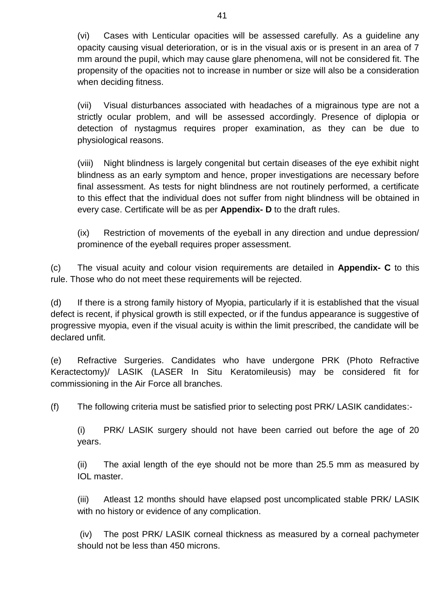(vi) Cases with Lenticular opacities will be assessed carefully. As a guideline any opacity causing visual deterioration, or is in the visual axis or is present in an area of 7 mm around the pupil, which may cause glare phenomena, will not be considered fit. The propensity of the opacities not to increase in number or size will also be a consideration when deciding fitness.

(vii) Visual disturbances associated with headaches of a migrainous type are not a strictly ocular problem, and will be assessed accordingly. Presence of diplopia or detection of nystagmus requires proper examination, as they can be due to physiological reasons.

(viii) Night blindness is largely congenital but certain diseases of the eye exhibit night blindness as an early symptom and hence, proper investigations are necessary before final assessment. As tests for night blindness are not routinely performed, a certificate to this effect that the individual does not suffer from night blindness will be obtained in every case. Certificate will be as per **Appendix- D** to the draft rules.

(ix) Restriction of movements of the eyeball in any direction and undue depression/ prominence of the eyeball requires proper assessment.

(c) The visual acuity and colour vision requirements are detailed in **Appendix- C** to this rule. Those who do not meet these requirements will be rejected.

(d) If there is a strong family history of Myopia, particularly if it is established that the visual defect is recent, if physical growth is still expected, or if the fundus appearance is suggestive of progressive myopia, even if the visual acuity is within the limit prescribed, the candidate will be declared unfit.

(e) Refractive Surgeries. Candidates who have undergone PRK (Photo Refractive Keractectomy)/ LASIK (LASER In Situ Keratomileusis) may be considered fit for commissioning in the Air Force all branches.

(f) The following criteria must be satisfied prior to selecting post PRK/ LASIK candidates:-

(i) PRK/ LASIK surgery should not have been carried out before the age of 20 years.

(ii) The axial length of the eye should not be more than 25.5 mm as measured by IOL master.

(iii) Atleast 12 months should have elapsed post uncomplicated stable PRK/ LASIK with no history or evidence of any complication.

(iv) The post PRK/ LASIK corneal thickness as measured by a corneal pachymeter should not be less than 450 microns.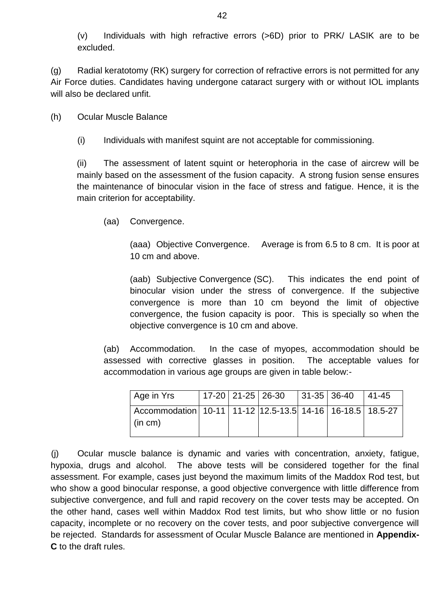(v) Individuals with high refractive errors (>6D) prior to PRK/ LASIK are to be excluded.

(g) Radial keratotomy (RK) surgery for correction of refractive errors is not permitted for any Air Force duties. Candidates having undergone cataract surgery with or without IOL implants will also be declared unfit.

(h) Ocular Muscle Balance

(i) Individuals with manifest squint are not acceptable for commissioning.

(ii) The assessment of latent squint or heterophoria in the case of aircrew will be mainly based on the assessment of the fusion capacity. A strong fusion sense ensures the maintenance of binocular vision in the face of stress and fatigue. Hence, it is the main criterion for acceptability.

(aa) Convergence.

(aaa) Objective Convergence. Average is from 6.5 to 8 cm. It is poor at 10 cm and above.

(aab) Subjective Convergence (SC). This indicates the end point of binocular vision under the stress of convergence. If the subjective convergence is more than 10 cm beyond the limit of objective convergence, the fusion capacity is poor. This is specially so when the objective convergence is 10 cm and above.

(ab) Accommodation. In the case of myopes, accommodation should be assessed with corrective glasses in position. The acceptable values for accommodation in various age groups are given in table below:-

| Age in Yrs                                                                              |  | $ 17-20 21-25 26-30 31-35 36-40$ |  | $ 41-45$ |
|-----------------------------------------------------------------------------------------|--|----------------------------------|--|----------|
| Accommodation   10-11   11-12   12.5-13.5   14-16   16-18.5   18.5-27<br>$\mid$ (in cm) |  |                                  |  |          |

(j) Ocular muscle balance is dynamic and varies with concentration, anxiety, fatigue, hypoxia, drugs and alcohol. The above tests will be considered together for the final assessment. For example, cases just beyond the maximum limits of the Maddox Rod test, but who show a good binocular response, a good objective convergence with little difference from subjective convergence, and full and rapid recovery on the cover tests may be accepted. On the other hand, cases well within Maddox Rod test limits, but who show little or no fusion capacity, incomplete or no recovery on the cover tests, and poor subjective convergence will be rejected. Standards for assessment of Ocular Muscle Balance are mentioned in **Appendix-C** to the draft rules.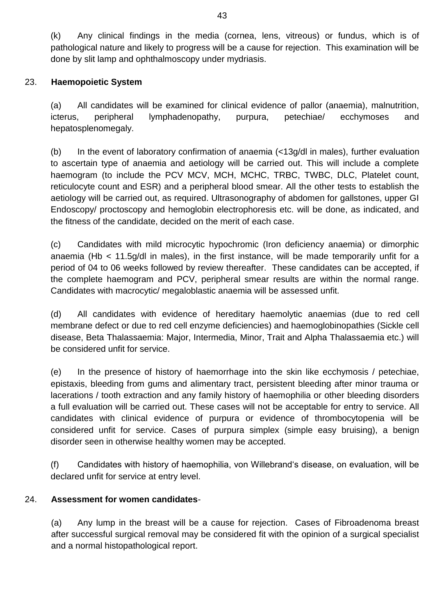(k) Any clinical findings in the media (cornea, lens, vitreous) or fundus, which is of pathological nature and likely to progress will be a cause for rejection. This examination will be done by slit lamp and ophthalmoscopy under mydriasis.

## 23. **Haemopoietic System**

(a) All candidates will be examined for clinical evidence of pallor (anaemia), malnutrition, icterus, peripheral lymphadenopathy, purpura, petechiae/ ecchymoses and hepatosplenomegaly.

(b) In the event of laboratory confirmation of anaemia (<13g/dl in males), further evaluation to ascertain type of anaemia and aetiology will be carried out. This will include a complete haemogram (to include the PCV MCV, MCH, MCHC, TRBC, TWBC, DLC, Platelet count, reticulocyte count and ESR) and a peripheral blood smear. All the other tests to establish the aetiology will be carried out, as required. Ultrasonography of abdomen for gallstones, upper GI Endoscopy/ proctoscopy and hemoglobin electrophoresis etc. will be done, as indicated, and the fitness of the candidate, decided on the merit of each case.

(c) Candidates with mild microcytic hypochromic (Iron deficiency anaemia) or dimorphic anaemia (Hb < 11.5g/dl in males), in the first instance, will be made temporarily unfit for a period of 04 to 06 weeks followed by review thereafter. These candidates can be accepted, if the complete haemogram and PCV, peripheral smear results are within the normal range. Candidates with macrocytic/ megaloblastic anaemia will be assessed unfit.

(d) All candidates with evidence of hereditary haemolytic anaemias (due to red cell membrane defect or due to red cell enzyme deficiencies) and haemoglobinopathies (Sickle cell disease, Beta Thalassaemia: Major, Intermedia, Minor, Trait and Alpha Thalassaemia etc.) will be considered unfit for service.

(e) In the presence of history of haemorrhage into the skin like ecchymosis / petechiae, epistaxis, bleeding from gums and alimentary tract, persistent bleeding after minor trauma or lacerations / tooth extraction and any family history of haemophilia or other bleeding disorders a full evaluation will be carried out. These cases will not be acceptable for entry to service. All candidates with clinical evidence of purpura or evidence of thrombocytopenia will be considered unfit for service. Cases of purpura simplex (simple easy bruising), a benign disorder seen in otherwise healthy women may be accepted.

(f) Candidates with history of haemophilia, von Willebrand's disease, on evaluation, will be declared unfit for service at entry level.

## 24. **Assessment for women candidates**-

(a) Any lump in the breast will be a cause for rejection. Cases of Fibroadenoma breast after successful surgical removal may be considered fit with the opinion of a surgical specialist and a normal histopathological report.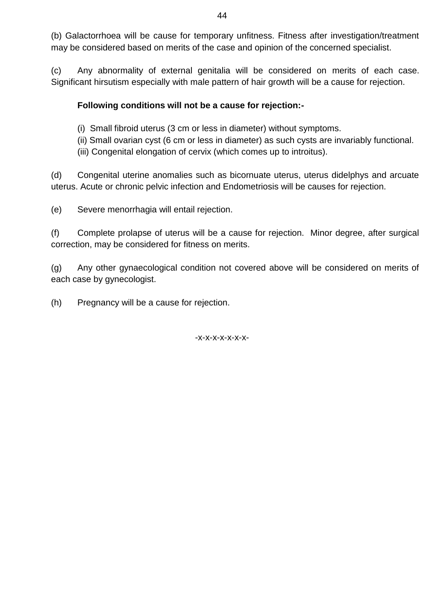(b) Galactorrhoea will be cause for temporary unfitness. Fitness after investigation/treatment may be considered based on merits of the case and opinion of the concerned specialist.

(c) Any abnormality of external genitalia will be considered on merits of each case. Significant hirsutism especially with male pattern of hair growth will be a cause for rejection.

## **Following conditions will not be a cause for rejection:-**

- (i) Small fibroid uterus (3 cm or less in diameter) without symptoms.
- (ii) Small ovarian cyst (6 cm or less in diameter) as such cysts are invariably functional.
- (iii) Congenital elongation of cervix (which comes up to introitus).

(d) Congenital uterine anomalies such as bicornuate uterus, uterus didelphys and arcuate uterus. Acute or chronic pelvic infection and Endometriosis will be causes for rejection.

(e) Severe menorrhagia will entail rejection.

(f) Complete prolapse of uterus will be a cause for rejection. Minor degree, after surgical correction, may be considered for fitness on merits.

(g) Any other gynaecological condition not covered above will be considered on merits of each case by gynecologist.

(h) Pregnancy will be a cause for rejection.

-x-x-x-x-x-x-x-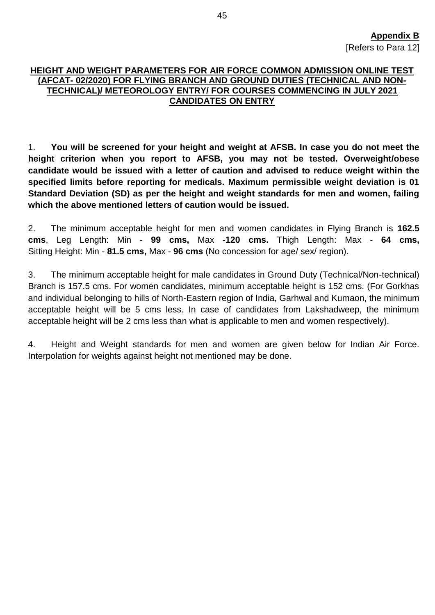#### **HEIGHT AND WEIGHT PARAMETERS FOR AIR FORCE COMMON ADMISSION ONLINE TEST (AFCAT- 02/2020) FOR FLYING BRANCH AND GROUND DUTIES (TECHNICAL AND NON-TECHNICAL)/ METEOROLOGY ENTRY/ FOR COURSES COMMENCING IN JULY 2021 CANDIDATES ON ENTRY**

1. **You will be screened for your height and weight at AFSB. In case you do not meet the height criterion when you report to AFSB, you may not be tested. Overweight/obese candidate would be issued with a letter of caution and advised to reduce weight within the specified limits before reporting for medicals. Maximum permissible weight deviation is 01 Standard Deviation (SD) as per the height and weight standards for men and women, failing which the above mentioned letters of caution would be issued.**

2. The minimum acceptable height for men and women candidates in Flying Branch is **162.5 cms**, Leg Length: Min - **99 cms,** Max -**120 cms.** Thigh Length: Max - **64 cms,**  Sitting Height: Min - **81.5 cms,** Max - **96 cms** (No concession for age/ sex/ region).

3. The minimum acceptable height for male candidates in Ground Duty (Technical/Non-technical) Branch is 157.5 cms. For women candidates, minimum acceptable height is 152 cms. (For Gorkhas and individual belonging to hills of North-Eastern region of India, Garhwal and Kumaon, the minimum acceptable height will be 5 cms less. In case of candidates from Lakshadweep, the minimum acceptable height will be 2 cms less than what is applicable to men and women respectively).

4. Height and Weight standards for men and women are given below for Indian Air Force. Interpolation for weights against height not mentioned may be done.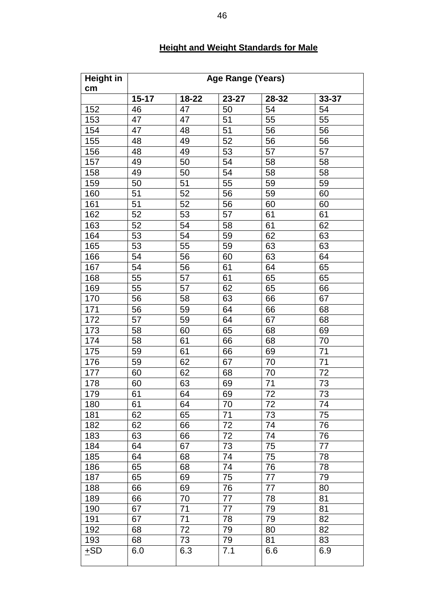| <b>Height in</b><br>cm | Age Range (Years) |          |          |          |           |
|------------------------|-------------------|----------|----------|----------|-----------|
|                        | $15 - 17$         | 18-22    | 23-27    | 28-32    | $33 - 37$ |
| 152                    | 46                | 47       | 50       | 54       | 54        |
| 153                    | 47                | 47       | 51       | 55       | 55        |
| 154                    | 47                | 48       | 51       | 56       | 56        |
| 155                    | 48                | 49       | 52       | 56       | 56        |
| 156                    | 48                | 49       | 53       | 57       | 57        |
| 157                    | 49                | 50       | 54       | 58       | 58        |
| 158                    | 49                | 50       | 54       | 58       | 58        |
| 159                    | 50                | 51       | 55       | 59       | 59        |
| 160                    | 51                | 52       | 56       | 59       | 60        |
| 161                    | 51                | 52       | 56       | 60       | 60        |
| 162                    | 52                | 53       | 57       | 61       | 61        |
| 163                    | 52                | 54       | 58       | 61       | 62        |
| 164                    | 53                | 54       | 59       | 62       | 63        |
| 165                    | 53                | 55       | 59       | 63       | 63        |
| 166                    | 54                | 56       | 60       | 63       | 64        |
| 167                    | 54                | 56       | 61       | 64       | 65        |
| 168                    | 55                | 57       | 61       | 65       | 65        |
| 169                    | 55                | 57       | 62       | 65       | 66        |
| 170                    | 56                | 58       | 63       | 66       | 67        |
| 171                    | 56                | 59       | 64       | 66       | 68        |
| 172                    | 57                | 59       | 64       | 67       | 68        |
| 173                    | 58                | 60       | 65       | 68       | 69        |
| 174                    | 58                | 61       | 66       | 68       | 70        |
| 175                    | 59                | 61       | 66       | 69       | 71        |
| 176                    | 59                | 62       | 67       | 70       | 71        |
| 177                    | 60                | 62       | 68       | 70       | 72        |
| 178                    | 60                | 63       | 69       | 71       | 73        |
| 179                    | 61                | 64       | 69       | 72       | 73        |
| 180                    | 61                | 64       | 70       | 72       | 74        |
| 181                    | 62                | 65       | 71       | 73       | 75        |
| 182                    | 62                | 66       | 72       | 74       | 76        |
| 183                    | 63                | 66       | 72       | 74       | 76        |
| 184                    | 64                | 67       | 73       | 75       | 77        |
| 185                    | 64                | 68       | 74       | 75       | 78        |
| 186                    | 65                | 68       | 74       | 76       | 78        |
| 187                    | 65                | 69       | 75       | 77       | 79        |
| 188                    | 66                | 69       | 76       | 77       | 80        |
| 189                    | 66                | 70       | 77       | 78       | 81        |
| 190                    | 67                | 71       | 77       | 79       | 81        |
|                        |                   |          |          |          | 82        |
| 191<br>192             | 67<br>68          | 71<br>72 | 78<br>79 | 79<br>80 | 82        |
|                        |                   |          |          |          |           |
| 193                    | 68                | 73       | 79       | 81       | 83        |
| $\pm$ SD               | 6.0               | 6.3      | 7.1      | 6.6      | 6.9       |

## **Height and Weight Standards for Male**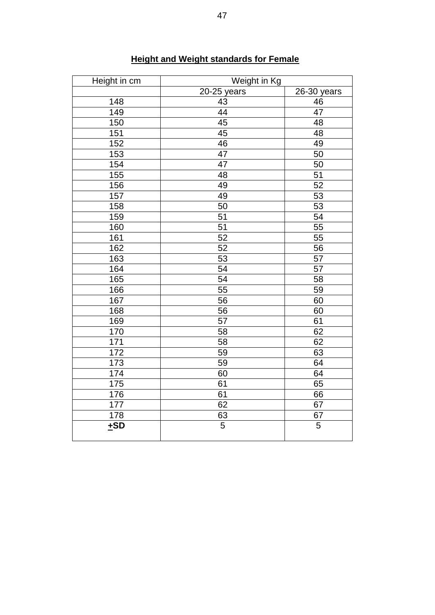| Height in cm | Weight in Kg   |                 |  |
|--------------|----------------|-----------------|--|
|              | 20-25 years    | 26-30 years     |  |
| 148          | 43             | 46              |  |
| 149          | 44             | 47              |  |
| 150          | 45             | 48              |  |
| 151          | 45             | 48              |  |
| 152          | 46             | 49              |  |
| 153          | 47             | 50              |  |
| 154          | 47             | 50              |  |
| 155          | 48             | $\overline{51}$ |  |
| 156          | 49             | $\overline{52}$ |  |
| 157          | 49             | $\overline{53}$ |  |
| 158          | 50             | 53              |  |
| 159          | 51             | 54              |  |
| 160          | 51             | 55              |  |
| 161          | 52             | 55              |  |
| 162          | 52             | 56              |  |
| 163          | 53             | 57              |  |
| 164          | 54             | 57              |  |
| 165          | 54             | 58              |  |
| 166          | 55             | 59              |  |
| 167          | 56             | 60              |  |
| 168          | 56             | 60              |  |
| 169          | 57             | 61              |  |
| 170          | 58             | 62              |  |
| 171          | 58             | 62              |  |
| 172          | 59             | 63              |  |
| 173          | 59             | 64              |  |
| 174          | 60             | 64              |  |
| 175          | 61             | 65              |  |
| 176          | 61             | 66              |  |
| 177          | 62             | 67              |  |
| 178          | $\frac{63}{5}$ | 67              |  |
| ±SD          |                | $\overline{5}$  |  |

## **Height and Weight standards for Female**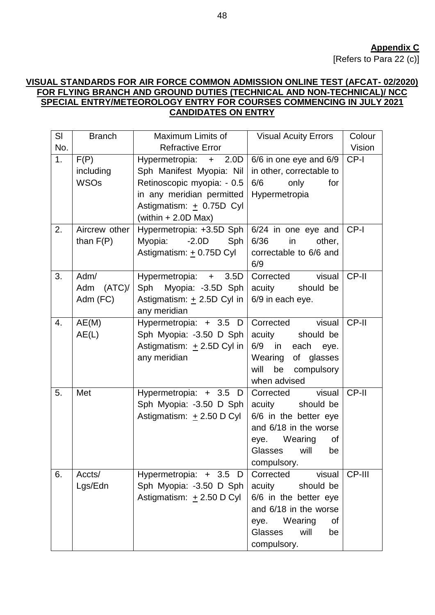#### **VISUAL STANDARDS FOR AIR FORCE COMMON ADMISSION ONLINE TEST (AFCAT- 02/2020) FOR FLYING BRANCH AND GROUND DUTIES (TECHNICAL AND NON-TECHNICAL)/ NCC SPECIAL ENTRY/METEOROLOGY ENTRY FOR COURSES COMMENCING IN JULY 2021 CANDIDATES ON ENTRY**

| SI  | <b>Branch</b> | Maximum Limits of              | <b>Visual Acuity Errors</b>                    | Colour |
|-----|---------------|--------------------------------|------------------------------------------------|--------|
| No. |               | <b>Refractive Error</b>        |                                                | Vision |
| 1.  | F(P)          | Hypermetropia: + 2.0D          | 6/6 in one eye and 6/9                         | CP-I   |
|     | including     | Sph Manifest Myopia: Nil       | in other, correctable to                       |        |
|     | <b>WSOs</b>   | Retinoscopic myopia: - 0.5     | 6/6<br>only<br>for                             |        |
|     |               | in any meridian permitted      | Hypermetropia                                  |        |
|     |               | Astigmatism: + 0.75D Cyl       |                                                |        |
|     |               | (within $+ 2.0D$ Max)          |                                                |        |
| 2.  | Aircrew other | Hypermetropia: +3.5D Sph       | 6/24 in one eye and                            | CP-I   |
|     | than $F(P)$   | Myopia:<br>$-2.0D$<br>Sph      | 6/36<br>in<br>other,                           |        |
|     |               | Astigmatism: + 0.75D Cyl       | correctable to 6/6 and<br>6/9                  |        |
| 3.  | Adm/          | Hypermetropia: + 3.5D          | visual<br>Corrected                            | CP-II  |
|     | (ATC)<br>Adm  | Sph<br>Myopia: -3.5D Sph       | should be<br>acuity                            |        |
|     | Adm (FC)      | Astigmatism: $\pm$ 2.5D Cyl in | 6/9 in each eye.                               |        |
|     |               | any meridian                   |                                                |        |
| 4.  | AE(M)         | Hypermetropia: + 3.5 D         | Corrected<br>visual                            | CP-II  |
|     | AE(L)         | Sph Myopia: -3.50 D Sph        | acuity<br>should be                            |        |
|     |               | Astigmatism: $\pm$ 2.5D Cyl in | 6/9 in<br>each eye.                            |        |
|     |               | any meridian                   | Wearing<br>of glasses                          |        |
|     |               |                                | be<br>compulsory<br>will                       |        |
|     |               |                                | when advised                                   |        |
| 5.  | Met           | Hypermetropia: + 3.5<br>D      | Corrected<br>visual                            | CP-II  |
|     |               | Sph Myopia: -3.50 D Sph        | should be<br>acuity                            |        |
|     |               | Astigmatism: $\pm$ 2.50 D Cyl  | 6/6 in the better eye                          |        |
|     |               |                                | and 6/18 in the worse                          |        |
|     |               |                                | Wearing<br>οf<br>eye.<br>Glasses<br>will<br>be |        |
|     |               |                                | compulsory.                                    |        |
| 6.  | Accts/        | Hypermetropia: + 3.5 D         | Corrected<br>visual                            | CP-III |
|     | Lgs/Edn       | Sph Myopia: -3.50 D Sph        | acuity<br>should be                            |        |
|     |               | Astigmatism: $\pm 2.50$ D Cyl  | 6/6 in the better eye                          |        |
|     |               |                                | and 6/18 in the worse                          |        |
|     |               |                                | Wearing<br>eye.<br>οf                          |        |
|     |               |                                | Glasses<br>will<br>be                          |        |
|     |               |                                | compulsory.                                    |        |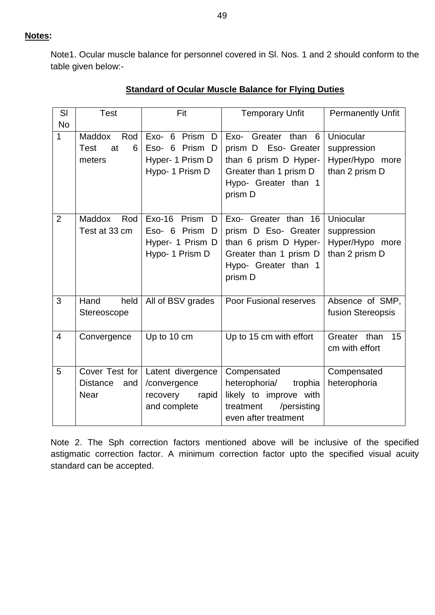**Notes:**

Note1. Ocular muscle balance for personnel covered in Sl. Nos. 1 and 2 should conform to the table given below:-

| SI<br><b>No</b> | <b>Test</b>                                              | Fit                                                                                | <b>Temporary Unfit</b>                                                                                                             | <b>Permanently Unfit</b>                                      |  |
|-----------------|----------------------------------------------------------|------------------------------------------------------------------------------------|------------------------------------------------------------------------------------------------------------------------------------|---------------------------------------------------------------|--|
| 1               | <b>Maddox</b><br>Rod<br><b>Test</b><br>at<br>6<br>meters | Exo- 6 Prism<br>D<br>Eso- 6 Prism D<br>Hyper- 1 Prism D<br>Hypo- 1 Prism D         | Exo- Greater than 6<br>prism D Eso- Greater<br>than 6 prism D Hyper-<br>Greater than 1 prism D<br>Hypo- Greater than 1<br>prism D  | Uniocular<br>suppression<br>Hyper/Hypo more<br>than 2 prism D |  |
| 2               | <b>Maddox</b><br>Rod<br>Test at 33 cm                    | $Exo-16$<br>Prism<br>D<br>Eso- 6 Prism<br>D<br>Hyper- 1 Prism D<br>Hypo- 1 Prism D | Exo- Greater than 16<br>prism D Eso- Greater<br>than 6 prism D Hyper-<br>Greater than 1 prism D<br>Hypo- Greater than 1<br>prism D | Uniocular<br>suppression<br>Hyper/Hypo more<br>than 2 prism D |  |
| 3               | held<br>Hand<br>Stereoscope                              | All of BSV grades                                                                  | <b>Poor Fusional reserves</b>                                                                                                      | Absence of SMP,<br>fusion Stereopsis                          |  |
| $\overline{4}$  | Convergence                                              | Up to 10 cm                                                                        | Up to 15 cm with effort                                                                                                            | Greater than<br>15<br>cm with effort                          |  |
| 5               | Cover Test for<br><b>Distance</b><br>and<br><b>Near</b>  | Latent divergence<br>/convergence<br>recovery<br>rapid<br>and complete             | Compensated<br>heterophoria/<br>trophia<br>likely to improve with<br>/persisting<br>treatment<br>even after treatment              | Compensated<br>heterophoria                                   |  |

## **Standard of Ocular Muscle Balance for Flying Duties**

Note 2. The Sph correction factors mentioned above will be inclusive of the specified astigmatic correction factor. A minimum correction factor upto the specified visual acuity standard can be accepted.